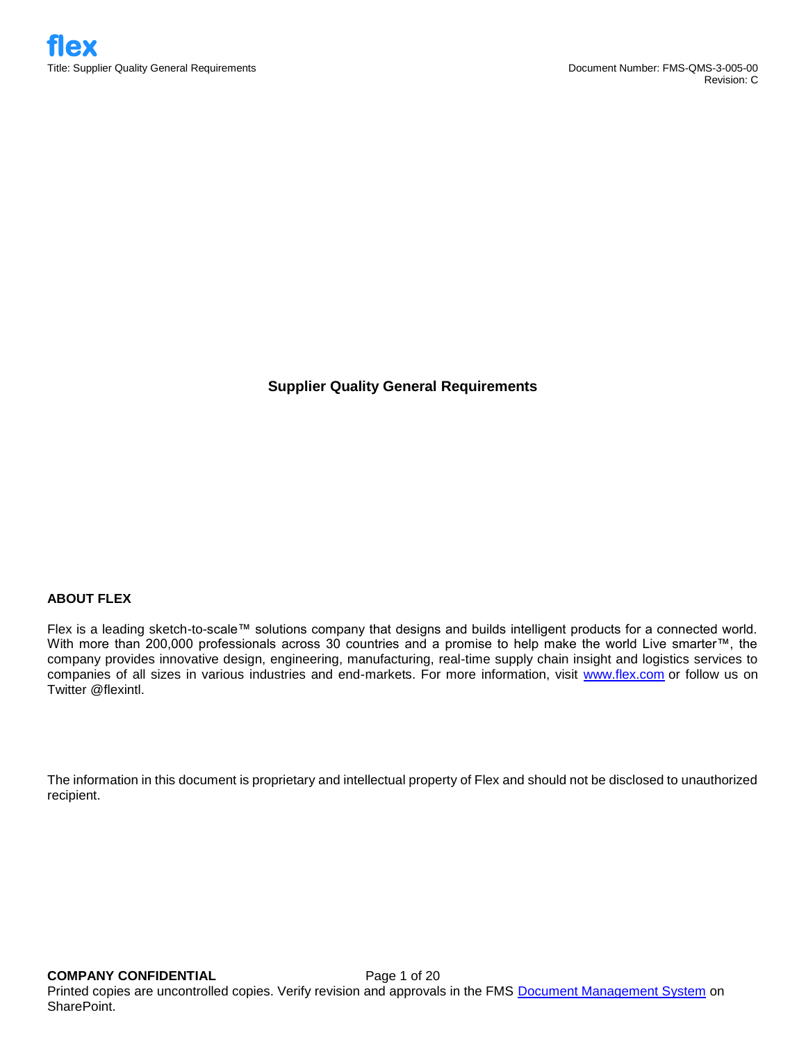**Supplier Quality General Requirements**

# **ABOUT FLEX**

Flex is a leading sketch-to-scale™ solutions company that designs and builds intelligent products for a connected world. With more than 200,000 professionals across 30 countries and a promise to help make the world Live smarter™, the company provides innovative design, engineering, manufacturing, real-time supply chain insight and logistics services to companies of all sizes in various industries and end-markets. For more information, visit [www.flex.com](http://www.flex.com/) or follow us on Twitter @flexintl.

The information in this document is proprietary and intellectual property of Flex and should not be disclosed to unauthorized recipient.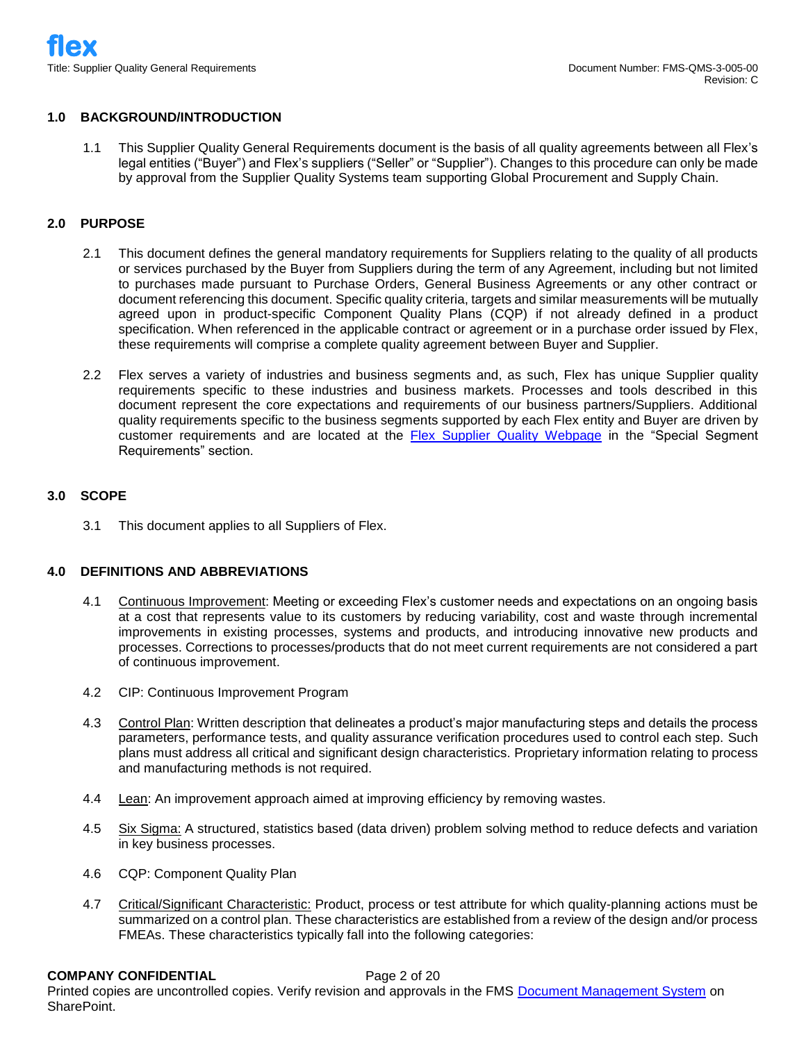### **1.0 BACKGROUND/INTRODUCTION**

1.1 This Supplier Quality General Requirements document is the basis of all quality agreements between all Flex's legal entities ("Buyer") and Flex's suppliers ("Seller" or "Supplier"). Changes to this procedure can only be made by approval from the Supplier Quality Systems team supporting Global Procurement and Supply Chain.

### **2.0 PURPOSE**

- 2.1 This document defines the general mandatory requirements for Suppliers relating to the quality of all products or services purchased by the Buyer from Suppliers during the term of any Agreement, including but not limited to purchases made pursuant to Purchase Orders, General Business Agreements or any other contract or document referencing this document. Specific quality criteria, targets and similar measurements will be mutually agreed upon in product-specific Component Quality Plans (CQP) if not already defined in a product specification. When referenced in the applicable contract or agreement or in a purchase order issued by Flex, these requirements will comprise a complete quality agreement between Buyer and Supplier.
- 2.2 Flex serves a variety of industries and business segments and, as such, Flex has unique Supplier quality requirements specific to these industries and business markets. Processes and tools described in this document represent the core expectations and requirements of our business partners/Suppliers. Additional quality requirements specific to the business segments supported by each Flex entity and Buyer are driven by customer requirements and are located at the [Flex Supplier Quality Webpage](http://www.flextronics.com/supplier-information/supplier-quality) in the "Special Segment Requirements" section.

## **3.0 SCOPE**

3.1 This document applies to all Suppliers of Flex.

# **4.0 DEFINITIONS AND ABBREVIATIONS**

- 4.1 Continuous Improvement: Meeting or exceeding Flex's customer needs and expectations on an ongoing basis at a cost that represents value to its customers by reducing variability, cost and waste through incremental improvements in existing processes, systems and products, and introducing innovative new products and processes. Corrections to processes/products that do not meet current requirements are not considered a part of continuous improvement.
- 4.2 CIP: Continuous Improvement Program
- 4.3 Control Plan: Written description that delineates a product's major manufacturing steps and details the process parameters, performance tests, and quality assurance verification procedures used to control each step. Such plans must address all critical and significant design characteristics. Proprietary information relating to process and manufacturing methods is not required.
- 4.4 Lean: An improvement approach aimed at improving efficiency by removing wastes.
- 4.5 Six Sigma: A structured, statistics based (data driven) problem solving method to reduce defects and variation in key business processes.
- 4.6 CQP: Component Quality Plan
- 4.7 Critical/Significant Characteristic: Product, process or test attribute for which quality-planning actions must be summarized on a control plan. These characteristics are established from a review of the design and/or process FMEAs. These characteristics typically fall into the following categories:

#### **COMPANY CONFIDENTIAL** Page 2 of 20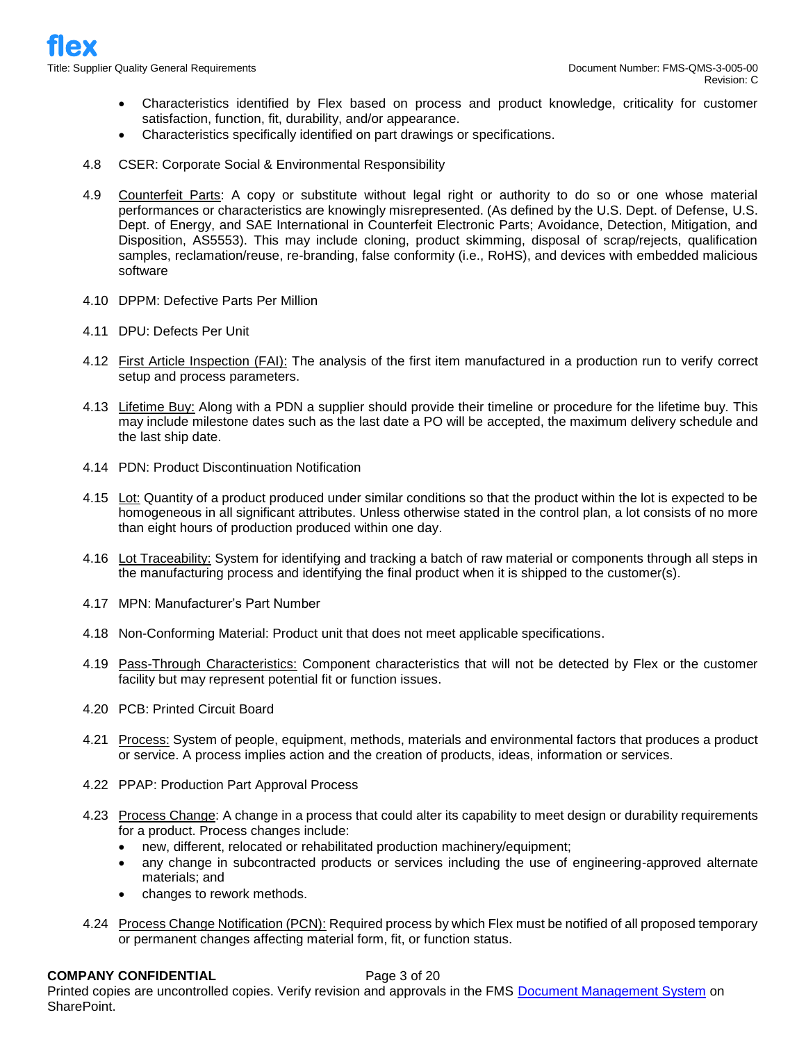- Characteristics identified by Flex based on process and product knowledge, criticality for customer satisfaction, function, fit, durability, and/or appearance.
- Characteristics specifically identified on part drawings or specifications.
- 4.8 CSER: Corporate Social & Environmental Responsibility
- 4.9 Counterfeit Parts: A copy or substitute without legal right or authority to do so or one whose material performances or characteristics are knowingly misrepresented. (As defined by the U.S. Dept. of Defense, U.S. Dept. of Energy, and SAE International in Counterfeit Electronic Parts; Avoidance, Detection, Mitigation, and Disposition, AS5553). This may include cloning, product skimming, disposal of scrap/rejects, qualification samples, reclamation/reuse, re-branding, false conformity (i.e., RoHS), and devices with embedded malicious software
- 4.10 DPPM: Defective Parts Per Million
- 4.11 DPU: Defects Per Unit
- 4.12 First Article Inspection (FAI): The analysis of the first item manufactured in a production run to verify correct setup and process parameters.
- 4.13 Lifetime Buy: Along with a PDN a supplier should provide their timeline or procedure for the lifetime buy. This may include milestone dates such as the last date a PO will be accepted, the maximum delivery schedule and the last ship date.
- 4.14 PDN: Product Discontinuation Notification
- 4.15 Lot: Quantity of a product produced under similar conditions so that the product within the lot is expected to be homogeneous in all significant attributes. Unless otherwise stated in the control plan, a lot consists of no more than eight hours of production produced within one day.
- 4.16 Lot Traceability: System for identifying and tracking a batch of raw material or components through all steps in the manufacturing process and identifying the final product when it is shipped to the customer(s).
- 4.17 MPN: Manufacturer's Part Number
- 4.18 Non-Conforming Material: Product unit that does not meet applicable specifications.
- 4.19 Pass-Through Characteristics: Component characteristics that will not be detected by Flex or the customer facility but may represent potential fit or function issues.
- 4.20 PCB: Printed Circuit Board
- 4.21 Process: System of people, equipment, methods, materials and environmental factors that produces a product or service. A process implies action and the creation of products, ideas, information or services.
- 4.22 PPAP: Production Part Approval Process
- 4.23 Process Change: A change in a process that could alter its capability to meet design or durability requirements for a product. Process changes include:
	- new, different, relocated or rehabilitated production machinery/equipment;
	- any change in subcontracted products or services including the use of engineering-approved alternate materials; and
	- changes to rework methods.
- 4.24 Process Change Notification (PCN): Required process by which Flex must be notified of all proposed temporary or permanent changes affecting material form, fit, or function status.

#### **COMPANY CONFIDENTIAL** Page 3 of 20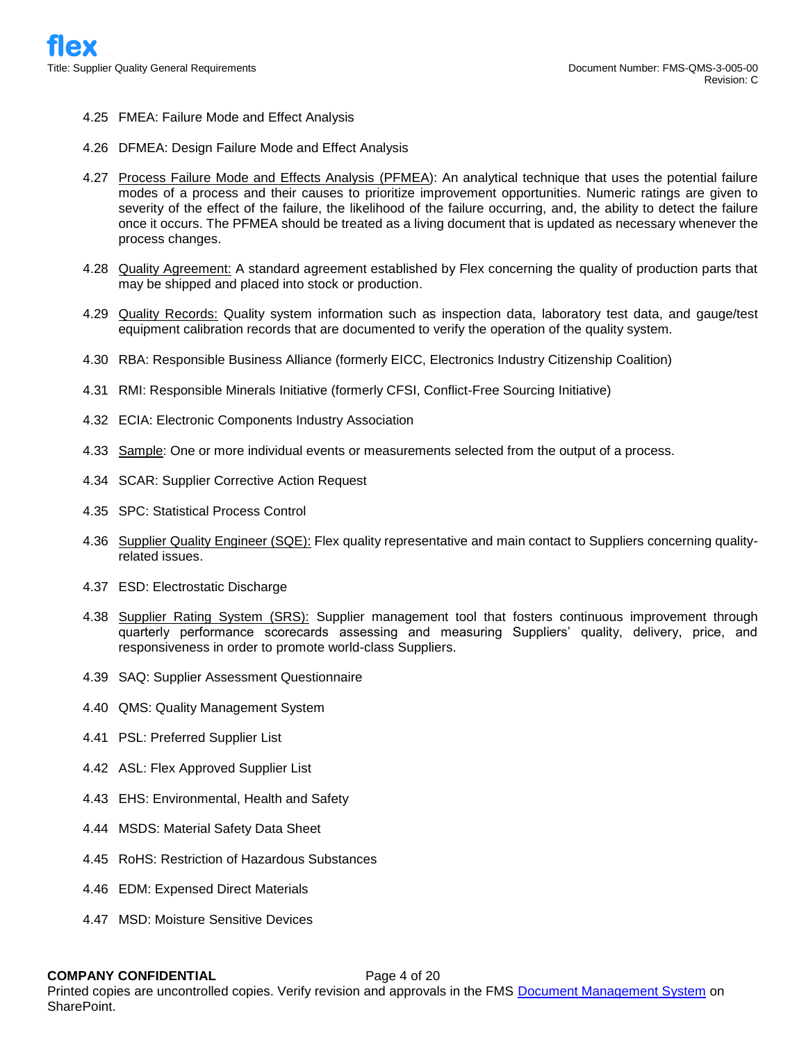- 4.25 FMEA: Failure Mode and Effect Analysis
- 4.26 DFMEA: Design Failure Mode and Effect Analysis
- 4.27 Process Failure Mode and Effects Analysis (PFMEA): An analytical technique that uses the potential failure modes of a process and their causes to prioritize improvement opportunities. Numeric ratings are given to severity of the effect of the failure, the likelihood of the failure occurring, and, the ability to detect the failure once it occurs. The PFMEA should be treated as a living document that is updated as necessary whenever the process changes.
- 4.28 Quality Agreement: A standard agreement established by Flex concerning the quality of production parts that may be shipped and placed into stock or production.
- 4.29 Quality Records: Quality system information such as inspection data, laboratory test data, and gauge/test equipment calibration records that are documented to verify the operation of the quality system.
- 4.30 RBA: Responsible Business Alliance (formerly EICC, Electronics Industry Citizenship Coalition)
- 4.31 RMI: Responsible Minerals Initiative (formerly CFSI, Conflict-Free Sourcing Initiative)
- 4.32 ECIA: Electronic Components Industry Association
- 4.33 Sample: One or more individual events or measurements selected from the output of a process.
- 4.34 SCAR: Supplier Corrective Action Request
- 4.35 SPC: Statistical Process Control
- 4.36 Supplier Quality Engineer (SQE): Flex quality representative and main contact to Suppliers concerning qualityrelated issues.
- 4.37 ESD: Electrostatic Discharge
- 4.38 Supplier Rating System (SRS): Supplier management tool that fosters continuous improvement through quarterly performance scorecards assessing and measuring Suppliers' quality, delivery, price, and responsiveness in order to promote world-class Suppliers.
- 4.39 SAQ: Supplier Assessment Questionnaire
- 4.40 QMS: Quality Management System
- 4.41 PSL: Preferred Supplier List
- 4.42 ASL: Flex Approved Supplier List
- 4.43 EHS: Environmental, Health and Safety
- 4.44 MSDS: Material Safety Data Sheet
- 4.45 RoHS: Restriction of Hazardous Substances
- 4.46 EDM: Expensed Direct Materials
- 4.47 MSD: Moisture Sensitive Devices

#### **COMPANY CONFIDENTIAL** Page 4 of 20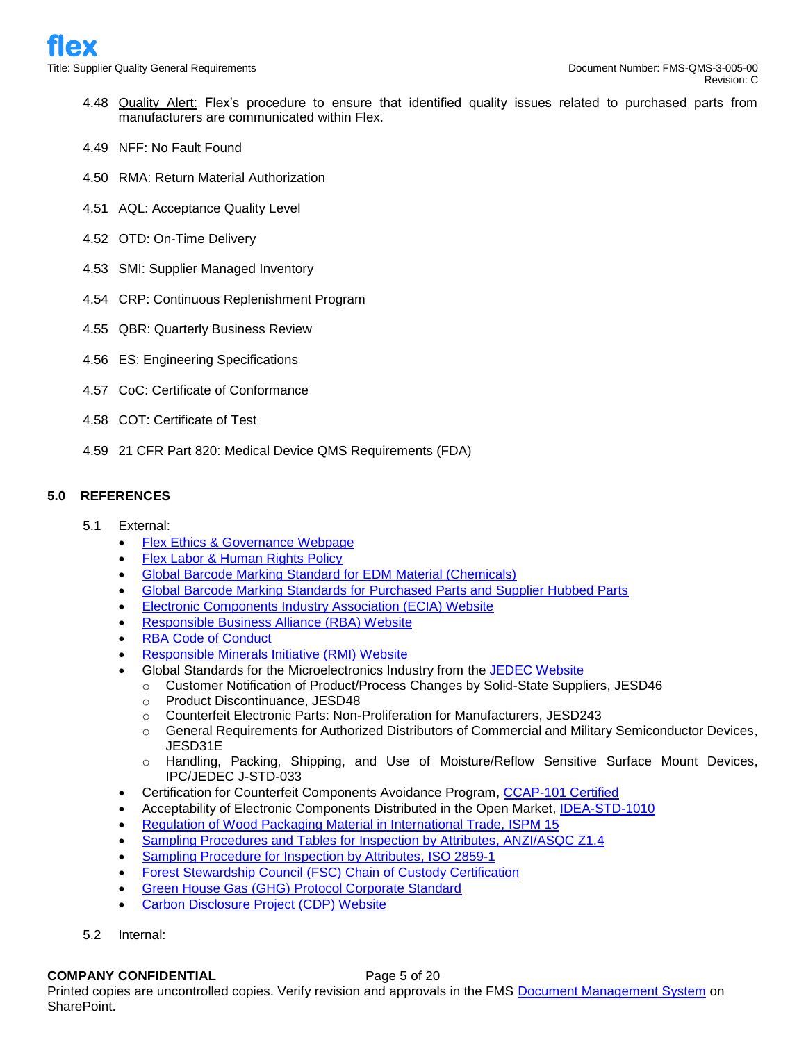- 4.48 Quality Alert: Flex's procedure to ensure that identified quality issues related to purchased parts from manufacturers are communicated within Flex.
- 4.49 NFF: No Fault Found
- 4.50 RMA: Return Material Authorization
- 4.51 AQL: Acceptance Quality Level
- 4.52 OTD: On-Time Delivery
- 4.53 SMI: Supplier Managed Inventory
- 4.54 CRP: Continuous Replenishment Program
- 4.55 QBR: Quarterly Business Review
- 4.56 ES: Engineering Specifications
- 4.57 CoC: Certificate of Conformance
- 4.58 COT: Certificate of Test
- 4.59 21 CFR Part 820: Medical Device QMS Requirements (FDA)

# **5.0 REFERENCES**

- 5.1 External:
	- [Flex Ethics & Governance Webpage](https://flex.com/about/ethics-governance)
	- [Flex Labor & Human Rights Policy](https://www.flex.com/sites/default/files/component_b2/Flex%20Labor%20and%20Human%20Rights%20Policy.pdf)
	- [Global Barcode Marking Standard for EDM Material \(Chemicals\)](https://flex.com/sites/default/files/component_b2/Global%2520Barcode%2520Marking%2520Standard%2520for%2520EDM%2520Material%2520_Chemicals.pdf)
	- [Global Barcode Marking Standards for Purchased Parts and Supplier Hubbed Parts](https://flex.com/sites/default/files/component_b2/Global%2520Barcode%2520Marking%2520Standards%2520for%2520Purchased%2520Parts%2520and%2520Supplier%2520Hubbed%2520Parts.pdf)
	- Electronic [Components Industry Association \(ECIA\) Website](https://www.ecianow.org/)
	- [Responsible Business Alliance](http://www.responsiblebusiness.org/) (RBA) Website
	- [RBA Code of Conduct](http://www.responsiblebusiness.org/standards/code-of-conduct/)
	- [Responsible Minerals Initiative \(RMI\)](http://www.responsiblemineralsinitiative.org/) Website
	- Global Standards for the Microelectronics Industry from the [JEDEC Website](https://www.jedec.org/)
		- o Customer Notification of Product/Process Changes by Solid-State Suppliers, JESD46
		- o Product Discontinuance, JESD48
		- o Counterfeit Electronic Parts: Non-Proliferation for Manufacturers, JESD243
		- o General Requirements for Authorized Distributors of Commercial and Military Semiconductor Devices, JESD31E
		- o Handling, Packing, Shipping, and Use of Moisture/Reflow Sensitive Surface Mount Devices, IPC/JEDEC J-STD-033
	- Certification for Counterfeit Components Avoidance Program, [CCAP-101 Certified](http://www.cti-us.com/CCAP.htm)
	- Acceptability of Electronic Components Distributed in the Open Market, [IDEA-STD-1010](https://www.idofea.org/idea-std-1010-inspection-standard)
	- [Regulation of Wood Packaging Material in International Trade, ISPM 15](http://www.fao.org/3/a-mb160e.pdf)
	- [Sampling Procedures and Tables for Inspection by Attributes, ANZI/ASQC Z1.4](http://asq.org/learn-about-quality/z14-z19/)
	- [Sampling Procedure for Inspection by Attributes, ISO 2859-1](https://www.iso.org/obp/ui/#iso:std:iso:2859:-1:ed-2:v1:en)
	- Forest Stewardship Council (FSC) [Chain of Custody Certification](https://ic.fsc.org/en/document-center)
	- [Green House Gas \(GHG\) Protocol Corporate Standard](http://www.ghgprotocol.org/corporate-standard)
	- [Carbon Disclosure Project](http://www.cdp.net/) (CDP) Website
- 5.2 Internal:

#### **COMPANY CONFIDENTIAL** Page 5 of 20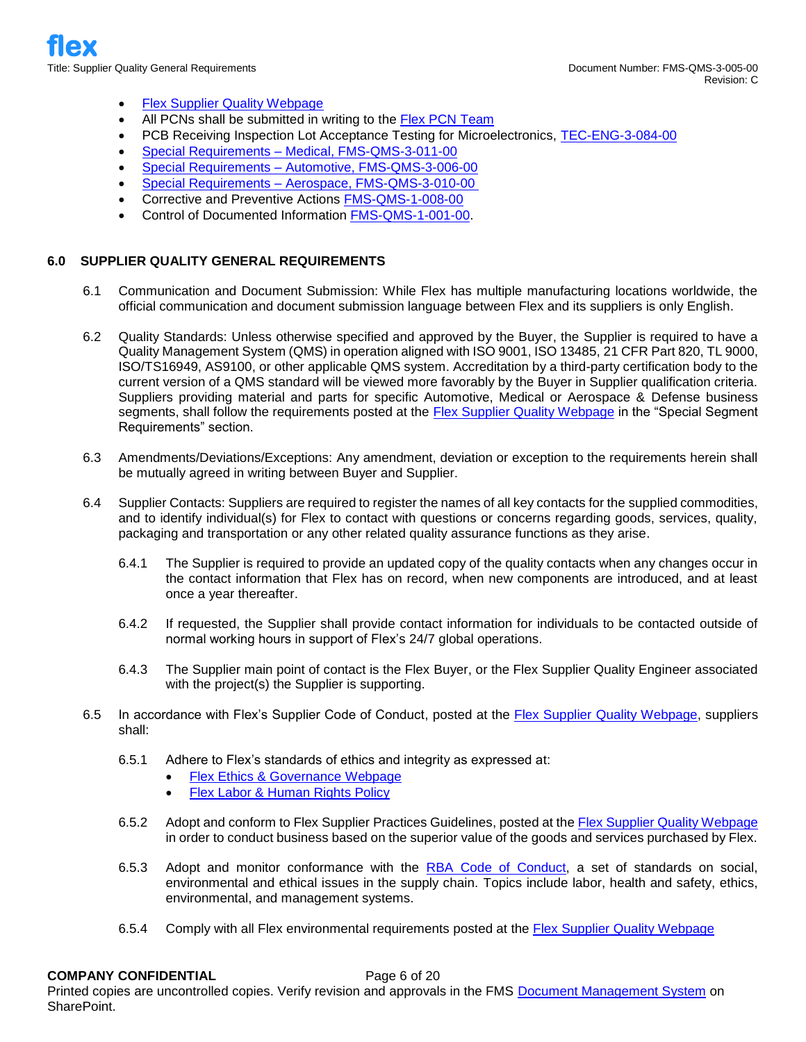- **[Flex Supplier Quality Webpage](http://www.flextronics.com/supplier-information/supplier-quality)**
- All PCNs shall be submitted in writing to the [Flex PCN Team](mailto:pcn1@flex.com)
- PCB Receiving Inspection Lot Acceptance Testing for Microelectronics, [TEC-ENG-3-084-00](https://flextronics365.flextronics.com/dms/globalops/att/Advanced%20Technologies/PCB%20Receiving%20Inspection%20Lot%20Acceptance%20Testing%20for%20Microelectronics.pdf?Web=1)
- Special Requirements [Medical, FMS-QMS-3-011-00](https://flextronics365.flextronics.com/dms/gq/cq/Supplier%20Quality%20Requirement%20-%20Medical.pdf)
- Special Requirements [Automotive, FMS-QMS-3-006-00](https://flextronics365.flextronics.com/dms/gq/cq/Supplier%20Quality%20Requirements%20-%20Automotive.pdf)
- Special Requirements [Aerospace, FMS-QMS-3-010-00](https://flextronics365.flextronics.com/dms/gq/cq/Supplier%20Quality%20Requirement%20-%20Aerospace%20and%20Defense.pdf)
- Corrective and Preventive Actions [FMS-QMS-1-008-00](https://flextronics365.flextronics.com/dms/gq/cq/Corrective%20and%20Preventive%20Action.pdf)
- Control of Documented Information [FMS-QMS-1-001-00.](https://flextronics365.flextronics.com/dms/gq/cq/Control%20of%20Documented%20Information.docx)

## **6.0 SUPPLIER QUALITY GENERAL REQUIREMENTS**

- 6.1 Communication and Document Submission: While Flex has multiple manufacturing locations worldwide, the official communication and document submission language between Flex and its suppliers is only English.
- 6.2 Quality Standards: Unless otherwise specified and approved by the Buyer, the Supplier is required to have a Quality Management System (QMS) in operation aligned with ISO 9001, ISO 13485, 21 CFR Part 820, TL 9000, ISO/TS16949, AS9100, or other applicable QMS system. Accreditation by a third-party certification body to the current version of a QMS standard will be viewed more favorably by the Buyer in Supplier qualification criteria. Suppliers providing material and parts for specific Automotive, Medical or Aerospace & Defense business segments, shall follow the requirements posted at the **Flex Supplier Quality Webpage** in the "Special Segment Requirements" section.
- 6.3 Amendments/Deviations/Exceptions: Any amendment, deviation or exception to the requirements herein shall be mutually agreed in writing between Buyer and Supplier.
- 6.4 Supplier Contacts: Suppliers are required to register the names of all key contacts for the supplied commodities, and to identify individual(s) for Flex to contact with questions or concerns regarding goods, services, quality, packaging and transportation or any other related quality assurance functions as they arise.
	- 6.4.1 The Supplier is required to provide an updated copy of the quality contacts when any changes occur in the contact information that Flex has on record, when new components are introduced, and at least once a year thereafter.
	- 6.4.2 If requested, the Supplier shall provide contact information for individuals to be contacted outside of normal working hours in support of Flex's 24/7 global operations.
	- 6.4.3 The Supplier main point of contact is the Flex Buyer, or the Flex Supplier Quality Engineer associated with the project(s) the Supplier is supporting.
- 6.5 In accordance with Flex's Supplier Code of Conduct, posted at the [Flex Supplier Quality Webpage,](http://www.flextronics.com/supplier-information/supplier-quality) suppliers shall:
	- 6.5.1 Adhere to Flex's standards of ethics and integrity as expressed at:
		- [Flex Ethics & Governance Webpage](https://flex.com/about/ethics-governance)
		- **[Flex Labor & Human Rights Policy](https://www.flex.com/sites/default/files/component_b2/Flex%20Labor%20and%20Human%20Rights%20Policy.pdf)**
	- 6.5.2 Adopt and conform to Flex Supplier Practices Guidelines, posted at the [Flex Supplier Quality Webpage](http://www.flextronics.com/supplier-information/supplier-quality) in order to conduct business based on the superior value of the goods and services purchased by Flex.
	- 6.5.3 Adopt and monitor conformance with the [RBA Code of Conduct,](http://www.responsiblebusiness.org/standards/code-of-conduct/) a set of standards on social, environmental and ethical issues in the supply chain. Topics include labor, health and safety, ethics, environmental, and management systems.
	- 6.5.4 Comply with all Flex environmental requirements posted at the [Flex Supplier Quality Webpage](http://www.flextronics.com/supplier-information/supplier-quality)

#### **COMPANY CONFIDENTIAL** Page 6 of 20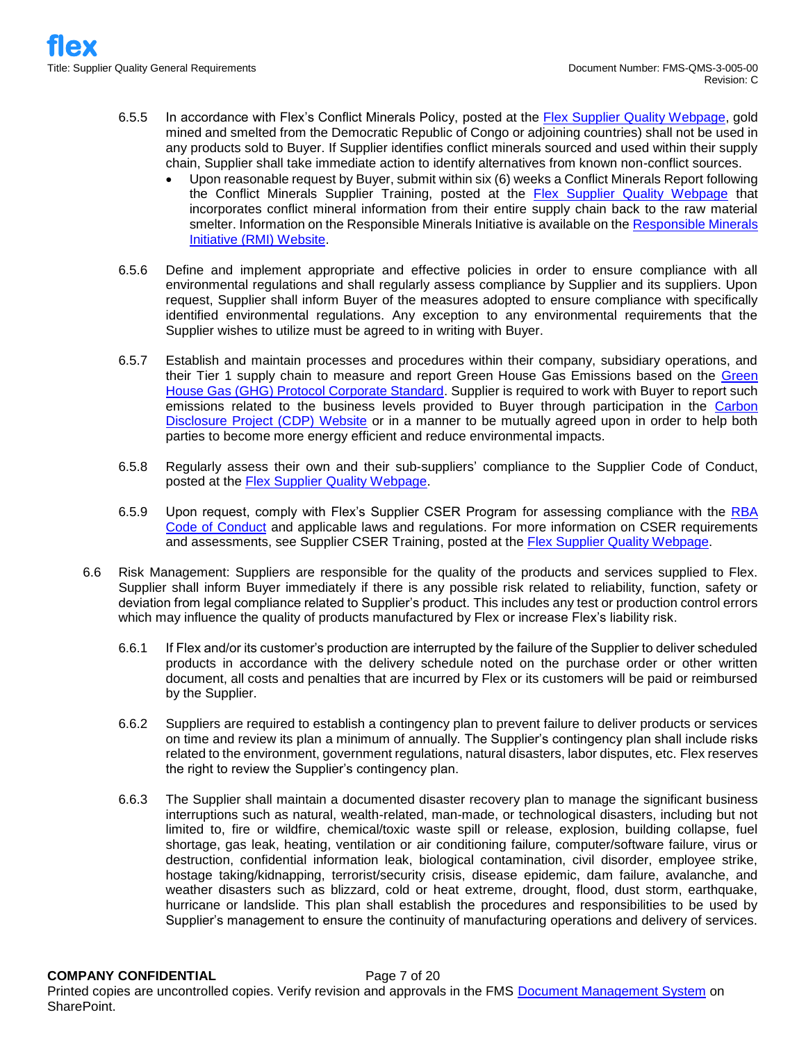- 6.5.5 In accordance with Flex's Conflict Minerals Policy, posted at the [Flex Supplier Quality Webpage,](http://www.flextronics.com/supplier-information/supplier-quality) gold mined and smelted from the Democratic Republic of Congo or adjoining countries) shall not be used in any products sold to Buyer. If Supplier identifies conflict minerals sourced and used within their supply chain, Supplier shall take immediate action to identify alternatives from known non-conflict sources.
	- Upon reasonable request by Buyer, submit within six (6) weeks a Conflict Minerals Report following the Conflict Minerals Supplier Training, posted at the [Flex Supplier Quality Webpage](http://www.flextronics.com/supplier-information/supplier-quality) that incorporates conflict mineral information from their entire supply chain back to the raw material smelter. Information on the [Responsible Minerals](http://www.responsiblemineralsinitiative.org/) Initiative is available on the Responsible Minerals [Initiative \(RMI\) Website.](http://www.responsiblemineralsinitiative.org/)
- 6.5.6 Define and implement appropriate and effective policies in order to ensure compliance with all environmental regulations and shall regularly assess compliance by Supplier and its suppliers. Upon request, Supplier shall inform Buyer of the measures adopted to ensure compliance with specifically identified environmental regulations. Any exception to any environmental requirements that the Supplier wishes to utilize must be agreed to in writing with Buyer.
- 6.5.7 Establish and maintain processes and procedures within their company, subsidiary operations, and their Tier 1 supply chain to measure and report [Green](http://www.ghgprotocol.org/corporate-standard) House Gas Emissions based on the Green [House Gas \(GHG\) Protocol Corporate Standard.](http://www.ghgprotocol.org/corporate-standard) Supplier is required to work with Buyer to report such emissions related to the business levels provided to Buyer through participation in the [Carbon](http://www.cdp.net/)  [Disclosure Project \(CDP\) Website](http://www.cdp.net/) or in a manner to be mutually agreed upon in order to help both parties to become more energy efficient and reduce environmental impacts.
- 6.5.8 Regularly assess their own and their sub-suppliers' compliance to the Supplier Code of Conduct, posted at the [Flex Supplier Quality Webpage.](http://www.flextronics.com/supplier-information/supplier-quality)
- 6.5.9 Upon request, comply with Flex's Supplier CSER Program for assessing compliance with the [RBA](http://www.responsiblebusiness.org/standards/code-of-conduct/)  [Code of Conduct](http://www.responsiblebusiness.org/standards/code-of-conduct/) and applicable laws and regulations. For more information on CSER requirements and assessments, see Supplier CSER Training, posted at the [Flex Supplier Quality Webpage.](http://www.flextronics.com/supplier-information/supplier-quality)
- 6.6 Risk Management: Suppliers are responsible for the quality of the products and services supplied to Flex. Supplier shall inform Buyer immediately if there is any possible risk related to reliability, function, safety or deviation from legal compliance related to Supplier's product. This includes any test or production control errors which may influence the quality of products manufactured by Flex or increase Flex's liability risk.
	- 6.6.1 If Flex and/or its customer's production are interrupted by the failure of the Supplier to deliver scheduled products in accordance with the delivery schedule noted on the purchase order or other written document, all costs and penalties that are incurred by Flex or its customers will be paid or reimbursed by the Supplier.
	- 6.6.2 Suppliers are required to establish a contingency plan to prevent failure to deliver products or services on time and review its plan a minimum of annually. The Supplier's contingency plan shall include risks related to the environment, government regulations, natural disasters, labor disputes, etc. Flex reserves the right to review the Supplier's contingency plan.
	- 6.6.3 The Supplier shall maintain a documented disaster recovery plan to manage the significant business interruptions such as natural, wealth-related, man-made, or technological disasters, including but not limited to, fire or wildfire, chemical/toxic waste spill or release, explosion, building collapse, fuel shortage, gas leak, heating, ventilation or air conditioning failure, computer/software failure, virus or destruction, confidential information leak, biological contamination, civil disorder, employee strike, hostage taking/kidnapping, terrorist/security crisis, disease epidemic, dam failure, avalanche, and weather disasters such as blizzard, cold or heat extreme, drought, flood, dust storm, earthquake, hurricane or landslide. This plan shall establish the procedures and responsibilities to be used by Supplier's management to ensure the continuity of manufacturing operations and delivery of services.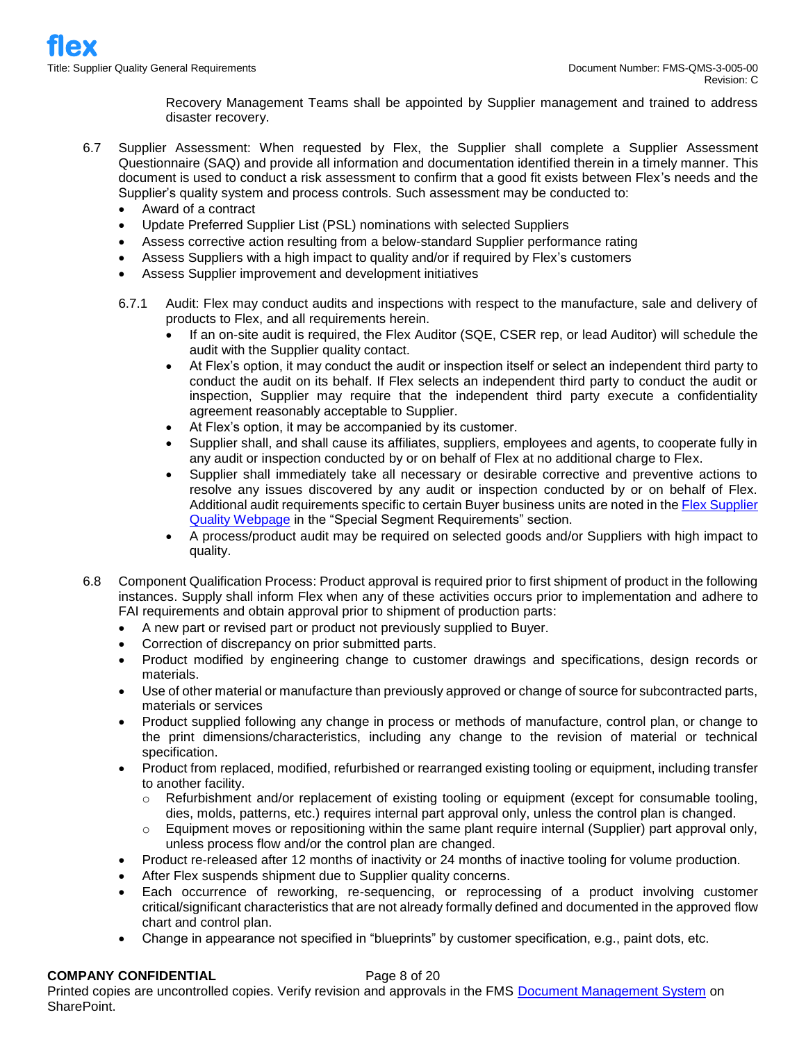Recovery Management Teams shall be appointed by Supplier management and trained to address disaster recovery.

- 6.7 Supplier Assessment: When requested by Flex, the Supplier shall complete a Supplier Assessment Questionnaire (SAQ) and provide all information and documentation identified therein in a timely manner. This document is used to conduct a risk assessment to confirm that a good fit exists between Flex's needs and the Supplier's quality system and process controls. Such assessment may be conducted to:
	- Award of a contract
	- Update Preferred Supplier List (PSL) nominations with selected Suppliers
	- Assess corrective action resulting from a below-standard Supplier performance rating
	- Assess Suppliers with a high impact to quality and/or if required by Flex's customers
	- Assess Supplier improvement and development initiatives
	- 6.7.1 Audit: Flex may conduct audits and inspections with respect to the manufacture, sale and delivery of products to Flex, and all requirements herein.
		- If an on-site audit is required, the Flex Auditor (SQE, CSER rep, or lead Auditor) will schedule the audit with the Supplier quality contact.
		- At Flex's option, it may conduct the audit or inspection itself or select an independent third party to conduct the audit on its behalf. If Flex selects an independent third party to conduct the audit or inspection, Supplier may require that the independent third party execute a confidentiality agreement reasonably acceptable to Supplier.
		- At Flex's option, it may be accompanied by its customer.
		- Supplier shall, and shall cause its affiliates, suppliers, employees and agents, to cooperate fully in any audit or inspection conducted by or on behalf of Flex at no additional charge to Flex.
		- Supplier shall immediately take all necessary or desirable corrective and preventive actions to resolve any issues discovered by any audit or inspection conducted by or on behalf of Flex. Additional audit requirements specific to certain Buyer business units are noted in the [Flex Supplier](http://www.flextronics.com/supplier-information/supplier-quality)  [Quality Webpage](http://www.flextronics.com/supplier-information/supplier-quality) in the "Special Segment Requirements" section.
		- A process/product audit may be required on selected goods and/or Suppliers with high impact to quality.
- 6.8 Component Qualification Process: Product approval is required prior to first shipment of product in the following instances. Supply shall inform Flex when any of these activities occurs prior to implementation and adhere to FAI requirements and obtain approval prior to shipment of production parts:
	- A new part or revised part or product not previously supplied to Buyer.
	- Correction of discrepancy on prior submitted parts.
	- Product modified by engineering change to customer drawings and specifications, design records or materials.
	- Use of other material or manufacture than previously approved or change of source for subcontracted parts, materials or services
	- Product supplied following any change in process or methods of manufacture, control plan, or change to the print dimensions/characteristics, including any change to the revision of material or technical specification.
	- Product from replaced, modified, refurbished or rearranged existing tooling or equipment, including transfer to another facility.
		- $\circ$  Refurbishment and/or replacement of existing tooling or equipment (except for consumable tooling, dies, molds, patterns, etc.) requires internal part approval only, unless the control plan is changed.
		- $\circ$  Equipment moves or repositioning within the same plant require internal (Supplier) part approval only, unless process flow and/or the control plan are changed.
	- Product re-released after 12 months of inactivity or 24 months of inactive tooling for volume production.
	- After Flex suspends shipment due to Supplier quality concerns.
	- Each occurrence of reworking, re-sequencing, or reprocessing of a product involving customer critical/significant characteristics that are not already formally defined and documented in the approved flow chart and control plan.
	- Change in appearance not specified in "blueprints" by customer specification, e.g., paint dots, etc.

# **COMPANY CONFIDENTIAL** Page 8 of 20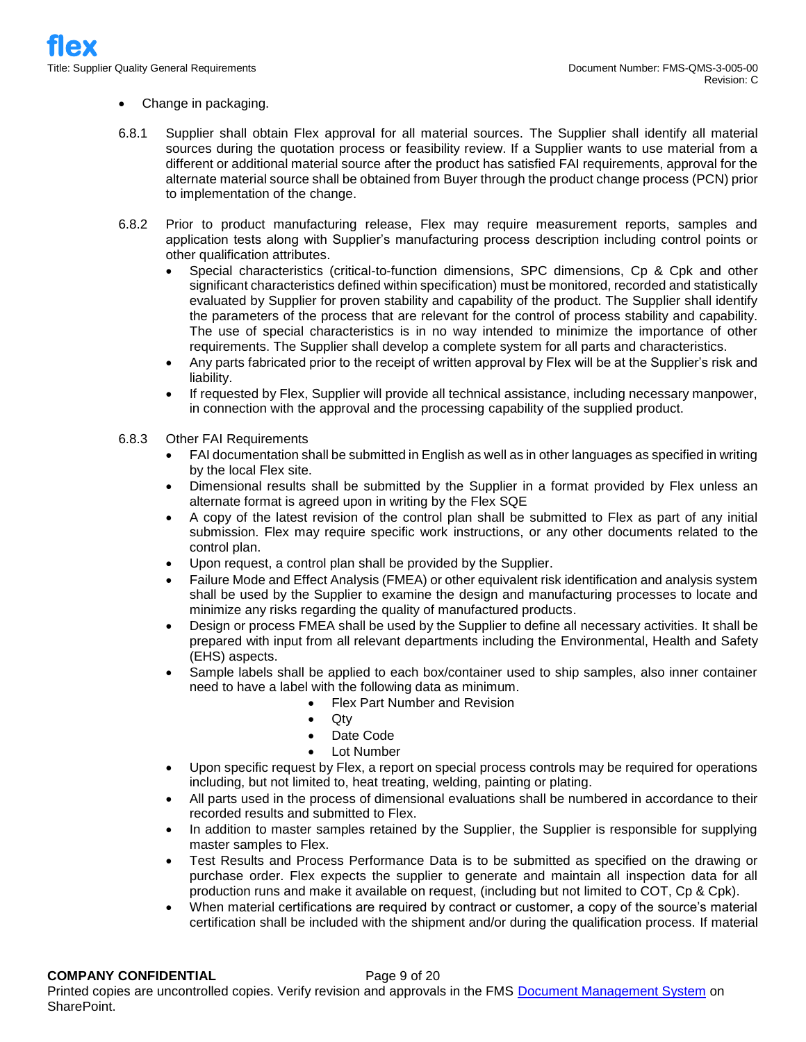## • Change in packaging.

- 6.8.1 Supplier shall obtain Flex approval for all material sources. The Supplier shall identify all material sources during the quotation process or feasibility review. If a Supplier wants to use material from a different or additional material source after the product has satisfied FAI requirements, approval for the alternate material source shall be obtained from Buyer through the product change process (PCN) prior to implementation of the change.
- 6.8.2 Prior to product manufacturing release, Flex may require measurement reports, samples and application tests along with Supplier's manufacturing process description including control points or other qualification attributes.
	- Special characteristics (critical-to-function dimensions, SPC dimensions, Cp & Cpk and other significant characteristics defined within specification) must be monitored, recorded and statistically evaluated by Supplier for proven stability and capability of the product. The Supplier shall identify the parameters of the process that are relevant for the control of process stability and capability. The use of special characteristics is in no way intended to minimize the importance of other requirements. The Supplier shall develop a complete system for all parts and characteristics.
	- Any parts fabricated prior to the receipt of written approval by Flex will be at the Supplier's risk and liability.
	- If requested by Flex, Supplier will provide all technical assistance, including necessary manpower, in connection with the approval and the processing capability of the supplied product.

## 6.8.3 Other FAI Requirements

- FAI documentation shall be submitted in English as well as in other languages as specified in writing by the local Flex site.
- Dimensional results shall be submitted by the Supplier in a format provided by Flex unless an alternate format is agreed upon in writing by the Flex SQE
- A copy of the latest revision of the control plan shall be submitted to Flex as part of any initial submission. Flex may require specific work instructions, or any other documents related to the control plan.
- Upon request, a control plan shall be provided by the Supplier.
- Failure Mode and Effect Analysis (FMEA) or other equivalent risk identification and analysis system shall be used by the Supplier to examine the design and manufacturing processes to locate and minimize any risks regarding the quality of manufactured products.
- Design or process FMEA shall be used by the Supplier to define all necessary activities. It shall be prepared with input from all relevant departments including the Environmental, Health and Safety (EHS) aspects.
- Sample labels shall be applied to each box/container used to ship samples, also inner container need to have a label with the following data as minimum.
	- Flex Part Number and Revision
	- Qty
	- Date Code
	- Lot Number
- Upon specific request by Flex, a report on special process controls may be required for operations including, but not limited to, heat treating, welding, painting or plating.
- All parts used in the process of dimensional evaluations shall be numbered in accordance to their recorded results and submitted to Flex.
- In addition to master samples retained by the Supplier, the Supplier is responsible for supplying master samples to Flex.
- Test Results and Process Performance Data is to be submitted as specified on the drawing or purchase order. Flex expects the supplier to generate and maintain all inspection data for all production runs and make it available on request, (including but not limited to COT, Cp & Cpk).
- When material certifications are required by contract or customer, a copy of the source's material certification shall be included with the shipment and/or during the qualification process. If material

# **COMPANY CONFIDENTIAL** Page 9 of 20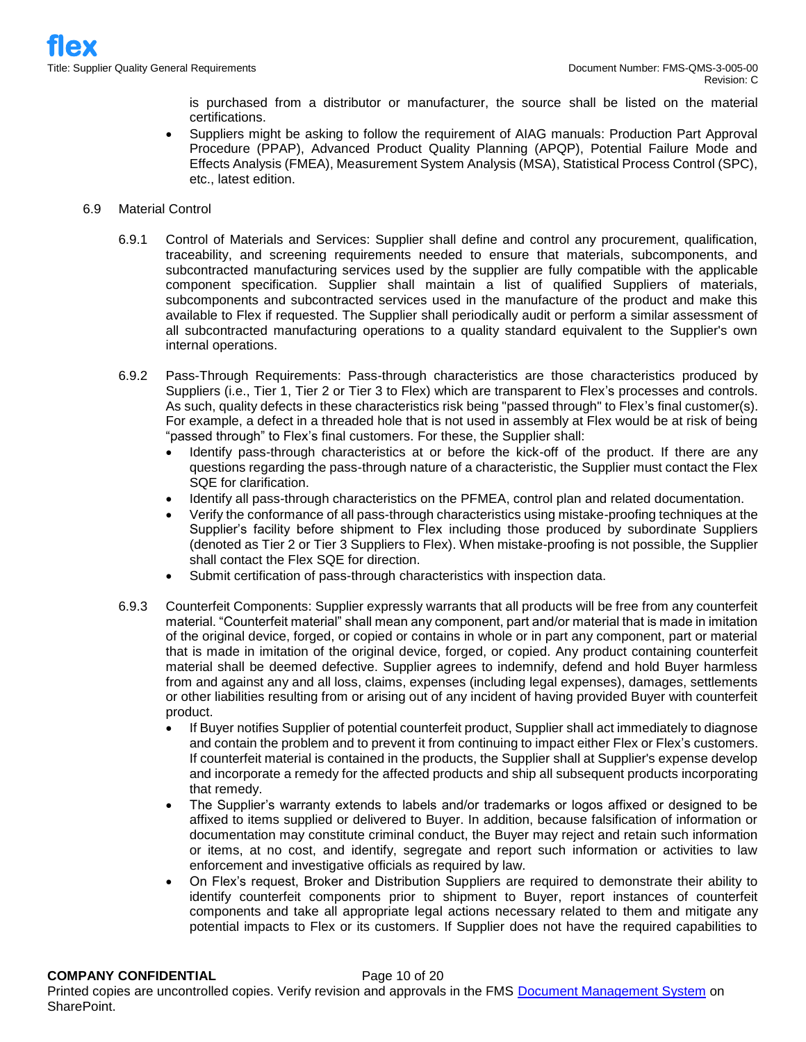is purchased from a distributor or manufacturer, the source shall be listed on the material certifications.

- Suppliers might be asking to follow the requirement of AIAG manuals: Production Part Approval Procedure (PPAP), Advanced Product Quality Planning (APQP), Potential Failure Mode and Effects Analysis (FMEA), Measurement System Analysis (MSA), Statistical Process Control (SPC), etc., latest edition.
- 6.9 Material Control
	- 6.9.1 Control of Materials and Services: Supplier shall define and control any procurement, qualification, traceability, and screening requirements needed to ensure that materials, subcomponents, and subcontracted manufacturing services used by the supplier are fully compatible with the applicable component specification. Supplier shall maintain a list of qualified Suppliers of materials, subcomponents and subcontracted services used in the manufacture of the product and make this available to Flex if requested. The Supplier shall periodically audit or perform a similar assessment of all subcontracted manufacturing operations to a quality standard equivalent to the Supplier's own internal operations.
	- 6.9.2 Pass-Through Requirements: Pass-through characteristics are those characteristics produced by Suppliers (i.e., Tier 1, Tier 2 or Tier 3 to Flex) which are transparent to Flex's processes and controls. As such, quality defects in these characteristics risk being "passed through" to Flex's final customer(s). For example, a defect in a threaded hole that is not used in assembly at Flex would be at risk of being "passed through" to Flex's final customers. For these, the Supplier shall:
		- Identify pass-through characteristics at or before the kick-off of the product. If there are any questions regarding the pass-through nature of a characteristic, the Supplier must contact the Flex SQE for clarification.
		- Identify all pass-through characteristics on the PFMEA, control plan and related documentation.
		- Verify the conformance of all pass-through characteristics using mistake-proofing techniques at the Supplier's facility before shipment to Flex including those produced by subordinate Suppliers (denoted as Tier 2 or Tier 3 Suppliers to Flex). When mistake-proofing is not possible, the Supplier shall contact the Flex SQE for direction.
		- Submit certification of pass-through characteristics with inspection data.
	- 6.9.3 Counterfeit Components: Supplier expressly warrants that all products will be free from any counterfeit material. "Counterfeit material" shall mean any component, part and/or material that is made in imitation of the original device, forged, or copied or contains in whole or in part any component, part or material that is made in imitation of the original device, forged, or copied. Any product containing counterfeit material shall be deemed defective. Supplier agrees to indemnify, defend and hold Buyer harmless from and against any and all loss, claims, expenses (including legal expenses), damages, settlements or other liabilities resulting from or arising out of any incident of having provided Buyer with counterfeit product.
		- If Buyer notifies Supplier of potential counterfeit product, Supplier shall act immediately to diagnose and contain the problem and to prevent it from continuing to impact either Flex or Flex's customers. If counterfeit material is contained in the products, the Supplier shall at Supplier's expense develop and incorporate a remedy for the affected products and ship all subsequent products incorporating that remedy.
		- The Supplier's warranty extends to labels and/or trademarks or logos affixed or designed to be affixed to items supplied or delivered to Buyer. In addition, because falsification of information or documentation may constitute criminal conduct, the Buyer may reject and retain such information or items, at no cost, and identify, segregate and report such information or activities to law enforcement and investigative officials as required by law.
		- On Flex's request, Broker and Distribution Suppliers are required to demonstrate their ability to identify counterfeit components prior to shipment to Buyer, report instances of counterfeit components and take all appropriate legal actions necessary related to them and mitigate any potential impacts to Flex or its customers. If Supplier does not have the required capabilities to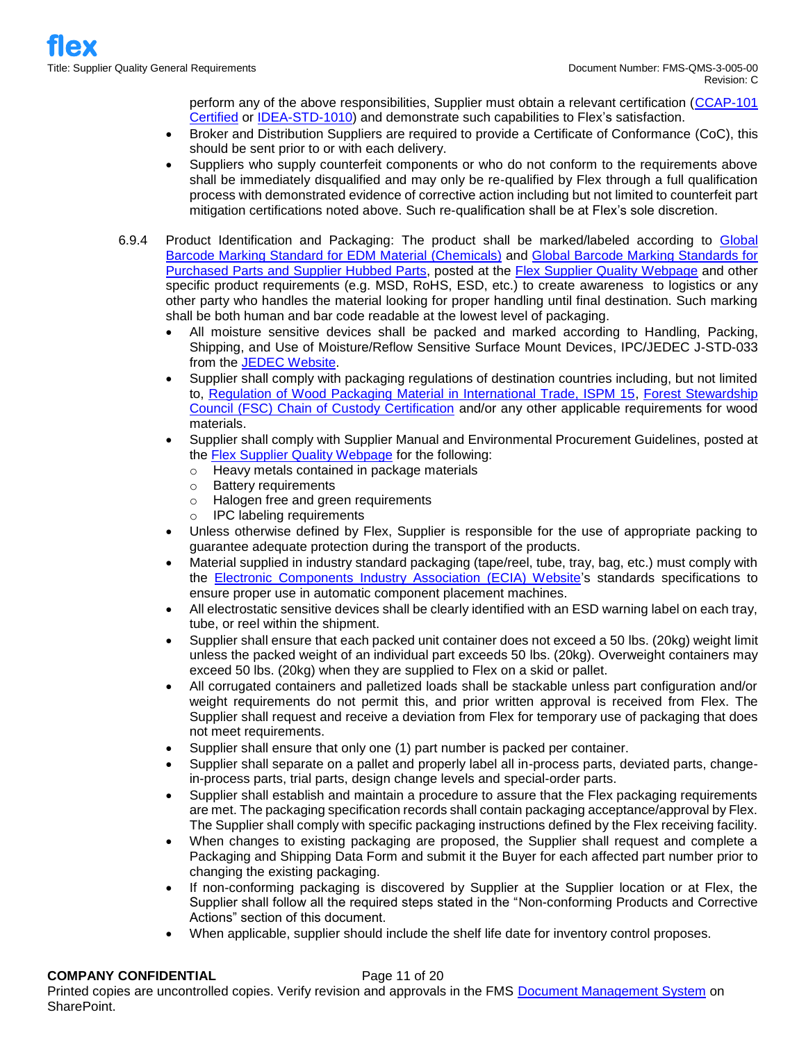perform any of the above responsibilities, Supplier must obtain a relevant certification [\(CCAP-101](http://www.cti-us.com/CCAP.htm)  [Certified](http://www.cti-us.com/CCAP.htm) or [IDEA-STD-1010\)](https://www.idofea.org/idea-std-1010-inspection-standard) and demonstrate such capabilities to Flex's satisfaction.

- Broker and Distribution Suppliers are required to provide a Certificate of Conformance (CoC), this should be sent prior to or with each delivery.
- Suppliers who supply counterfeit components or who do not conform to the requirements above shall be immediately disqualified and may only be re-qualified by Flex through a full qualification process with demonstrated evidence of corrective action including but not limited to counterfeit part mitigation certifications noted above. Such re-qualification shall be at Flex's sole discretion.
- 6.9.4 Product Identification and Packaging: The product shall be marked/labeled according to [Global](https://flex.com/sites/default/files/component_b2/Global%2520Barcode%2520Marking%2520Standard%2520for%2520EDM%2520Material%2520_Chemicals.pdf)  [Barcode Marking Standard for EDM Material \(Chemicals\)](https://flex.com/sites/default/files/component_b2/Global%2520Barcode%2520Marking%2520Standard%2520for%2520EDM%2520Material%2520_Chemicals.pdf) and [Global Barcode Marking Standards for](https://flex.com/sites/default/files/component_b2/Global%2520Barcode%2520Marking%2520Standards%2520for%2520Purchased%2520Parts%2520and%2520Supplier%2520Hubbed%2520Parts.pdf)  [Purchased Parts and Supplier Hubbed Parts,](https://flex.com/sites/default/files/component_b2/Global%2520Barcode%2520Marking%2520Standards%2520for%2520Purchased%2520Parts%2520and%2520Supplier%2520Hubbed%2520Parts.pdf) posted at the [Flex Supplier Quality Webpage](http://www.flextronics.com/supplier-information/supplier-quality) and other specific product requirements (e.g. MSD, RoHS, ESD, etc.) to create awareness to logistics or any other party who handles the material looking for proper handling until final destination. Such marking shall be both human and bar code readable at the lowest level of packaging.
	- All moisture sensitive devices shall be packed and marked according to Handling, Packing, Shipping, and Use of Moisture/Reflow Sensitive Surface Mount Devices, IPC/JEDEC J-STD-033 from the [JEDEC Website.](https://www.jedec.org/)
	- Supplier shall comply with packaging regulations of destination countries including, but not limited to, [Regulation of Wood Packaging Material in International Trade, ISPM 15,](http://www.fao.org/3/a-mb160e.pdf) [Forest Stewardship](https://ic.fsc.org/en/document-center)  [Council \(FSC\) Chain of Custody Certification](https://ic.fsc.org/en/document-center) and/or any other applicable requirements for wood materials.
	- Supplier shall comply with Supplier Manual and Environmental Procurement Guidelines, posted at the [Flex Supplier Quality Webpage](http://www.flextronics.com/supplier-information/supplier-quality) for the following:
		- o Heavy metals contained in package materials
		- o Battery requirements
		- o Halogen free and green requirements
		- o IPC labeling requirements
	- Unless otherwise defined by Flex. Supplier is responsible for the use of appropriate packing to guarantee adequate protection during the transport of the products.
	- Material supplied in industry standard packaging (tape/reel, tube, tray, bag, etc.) must comply with the [Electronic Components Industry Association \(ECIA\) Website's](https://www.ecianow.org/) standards specifications to ensure proper use in automatic component placement machines.
	- All electrostatic sensitive devices shall be clearly identified with an ESD warning label on each tray, tube, or reel within the shipment.
	- Supplier shall ensure that each packed unit container does not exceed a 50 lbs. (20kg) weight limit unless the packed weight of an individual part exceeds 50 lbs. (20kg). Overweight containers may exceed 50 lbs. (20kg) when they are supplied to Flex on a skid or pallet.
	- All corrugated containers and palletized loads shall be stackable unless part configuration and/or weight requirements do not permit this, and prior written approval is received from Flex. The Supplier shall request and receive a deviation from Flex for temporary use of packaging that does not meet requirements.
	- Supplier shall ensure that only one (1) part number is packed per container.
	- Supplier shall separate on a pallet and properly label all in-process parts, deviated parts, changein-process parts, trial parts, design change levels and special-order parts.
	- Supplier shall establish and maintain a procedure to assure that the Flex packaging requirements are met. The packaging specification records shall contain packaging acceptance/approval by Flex. The Supplier shall comply with specific packaging instructions defined by the Flex receiving facility.
	- When changes to existing packaging are proposed, the Supplier shall request and complete a Packaging and Shipping Data Form and submit it the Buyer for each affected part number prior to changing the existing packaging.
	- If non-conforming packaging is discovered by Supplier at the Supplier location or at Flex, the Supplier shall follow all the required steps stated in the "Non-conforming Products and Corrective Actions" section of this document.
	- When applicable, supplier should include the shelf life date for inventory control proposes.

# **COMPANY CONFIDENTIAL** Page 11 of 20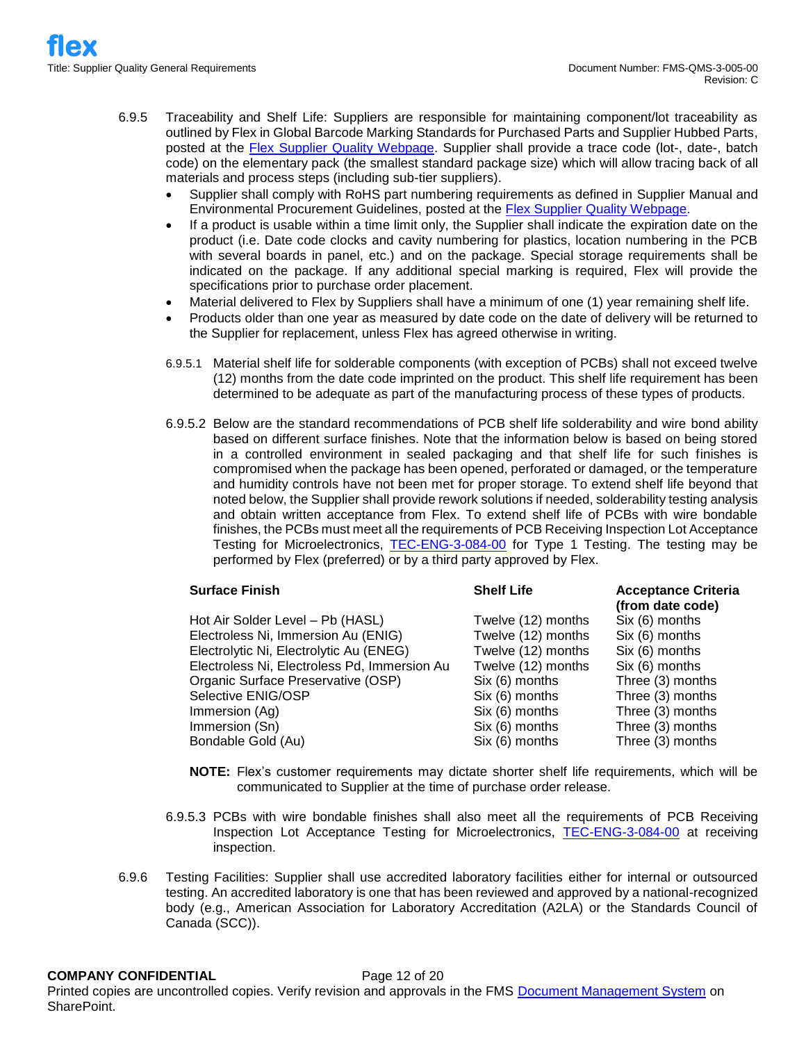- 6.9.5 Traceability and Shelf Life: Suppliers are responsible for maintaining component/lot traceability as outlined by Flex in Global Barcode Marking Standards for Purchased Parts and Supplier Hubbed Parts, posted at the [Flex Supplier Quality Webpage.](http://www.flextronics.com/supplier-information/supplier-quality) Supplier shall provide a trace code (lot-, date-, batch code) on the elementary pack (the smallest standard package size) which will allow tracing back of all materials and process steps (including sub-tier suppliers).
	- Supplier shall comply with RoHS part numbering requirements as defined in Supplier Manual and Environmental Procurement Guidelines, posted at the **Flex Supplier Quality Webpage**.
	- If a product is usable within a time limit only, the Supplier shall indicate the expiration date on the product (i.e. Date code clocks and cavity numbering for plastics, location numbering in the PCB with several boards in panel, etc.) and on the package. Special storage requirements shall be indicated on the package. If any additional special marking is required, Flex will provide the specifications prior to purchase order placement.
	- Material delivered to Flex by Suppliers shall have a minimum of one (1) year remaining shelf life.
	- Products older than one year as measured by date code on the date of delivery will be returned to the Supplier for replacement, unless Flex has agreed otherwise in writing.
	- 6.9.5.1 Material shelf life for solderable components (with exception of PCBs) shall not exceed twelve (12) months from the date code imprinted on the product. This shelf life requirement has been determined to be adequate as part of the manufacturing process of these types of products.
	- 6.9.5.2 Below are the standard recommendations of PCB shelf life solderability and wire bond ability based on different surface finishes. Note that the information below is based on being stored in a controlled environment in sealed packaging and that shelf life for such finishes is compromised when the package has been opened, perforated or damaged, or the temperature and humidity controls have not been met for proper storage. To extend shelf life beyond that noted below, the Supplier shall provide rework solutions if needed, solderability testing analysis and obtain written acceptance from Flex. To extend shelf life of PCBs with wire bondable finishes, the PCBs must meet all the requirements of PCB Receiving Inspection Lot Acceptance Testing for Microelectronics, [TEC-ENG-3-084-00](https://flextronics365.flextronics.com/dms/globalops/att/Advanced%20Technologies/PCB%20Receiving%20Inspection%20Lot%20Acceptance%20Testing%20for%20Microelectronics.pdf?Web=1) for Type 1 Testing. The testing may be performed by Flex (preferred) or by a third party approved by Flex.

| <b>Surface Finish</b>                        | <b>Shelf Life</b>  | <b>Acceptance Criteria</b><br>(from date code) |
|----------------------------------------------|--------------------|------------------------------------------------|
| Hot Air Solder Level - Pb (HASL)             | Twelve (12) months | Six (6) months                                 |
| Electroless Ni, Immersion Au (ENIG)          | Twelve (12) months | Six (6) months                                 |
| Electrolytic Ni, Electrolytic Au (ENEG)      | Twelve (12) months | Six (6) months                                 |
| Electroless Ni, Electroless Pd, Immersion Au | Twelve (12) months | Six (6) months                                 |
| Organic Surface Preservative (OSP)           | Six (6) months     | Three (3) months                               |
| Selective ENIG/OSP                           | Six (6) months     | Three (3) months                               |
| Immersion (Ag)                               | Six (6) months     | Three (3) months                               |
| Immersion (Sn)                               | Six (6) months     | Three (3) months                               |
| Bondable Gold (Au)                           | Six (6) months     | Three (3) months                               |

- **NOTE:** Flex's customer requirements may dictate shorter shelf life requirements, which will be communicated to Supplier at the time of purchase order release.
- 6.9.5.3 PCBs with wire bondable finishes shall also meet all the requirements of PCB Receiving Inspection Lot Acceptance Testing for Microelectronics, [TEC-ENG-3-084-00](https://flextronics365.flextronics.com/dms/globalops/att/Advanced%20Technologies/PCB%20Receiving%20Inspection%20Lot%20Acceptance%20Testing%20for%20Microelectronics.pdf?Web=1) at receiving inspection.
- 6.9.6 Testing Facilities: Supplier shall use accredited laboratory facilities either for internal or outsourced testing. An accredited laboratory is one that has been reviewed and approved by a national-recognized body (e.g., American Association for Laboratory Accreditation (A2LA) or the Standards Council of Canada (SCC)).

#### **COMPANY CONFIDENTIAL** Page 12 of 20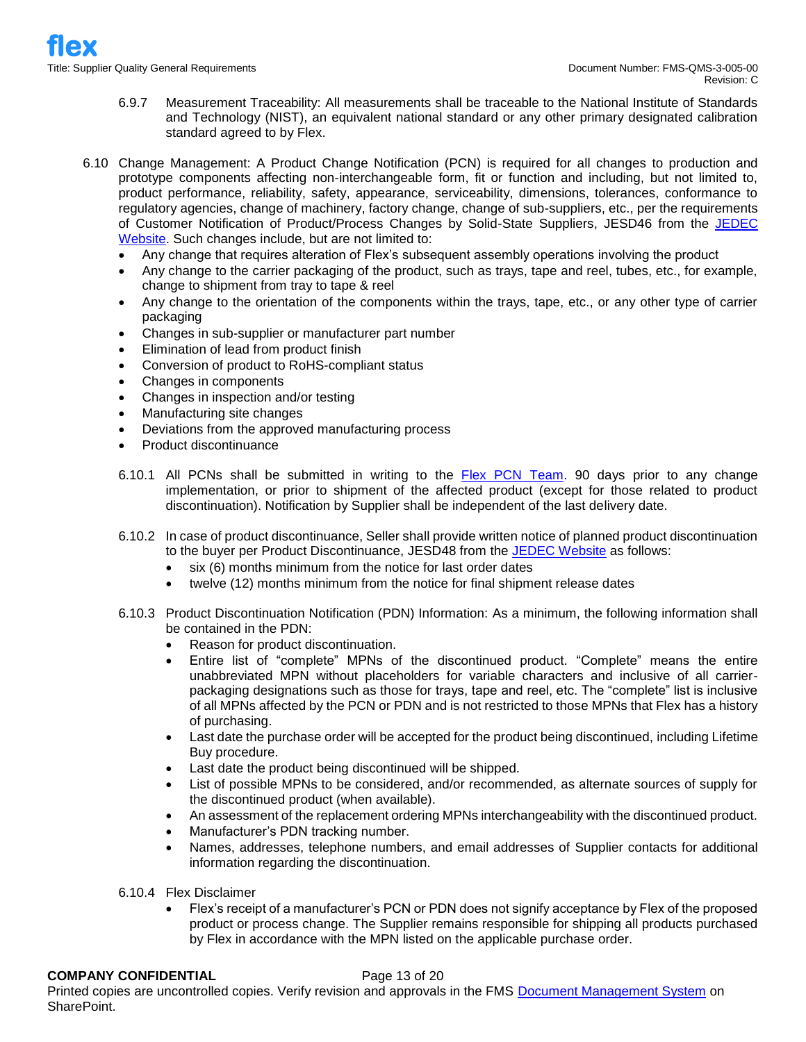- 6.9.7 Measurement Traceability: All measurements shall be traceable to the National Institute of Standards and Technology (NIST), an equivalent national standard or any other primary designated calibration standard agreed to by Flex.
- 6.10 Change Management: A Product Change Notification (PCN) is required for all changes to production and prototype components affecting non-interchangeable form, fit or function and including, but not limited to, product performance, reliability, safety, appearance, serviceability, dimensions, tolerances, conformance to regulatory agencies, change of machinery, factory change, change of sub-suppliers, etc., per the requirements of Customer Notification of Product/Process Changes by Solid-State Suppliers, JESD46 from the JEDEC [Website.](https://www.jedec.org/) Such changes include, but are not limited to:
	- Any change that requires alteration of Flex's subsequent assembly operations involving the product
	- Any change to the carrier packaging of the product, such as trays, tape and reel, tubes, etc., for example, change to shipment from tray to tape & reel
	- Any change to the orientation of the components within the trays, tape, etc., or any other type of carrier packaging
	- Changes in sub-supplier or manufacturer part number
	- Elimination of lead from product finish
	- Conversion of product to RoHS-compliant status
	- Changes in components
	- Changes in inspection and/or testing
	- Manufacturing site changes
	- Deviations from the approved manufacturing process
	- Product discontinuance
	- 6.10.1 All PCNs shall be submitted in writing to the [Flex PCN Team.](mailto:pcn1@flex.com) 90 days prior to any change implementation, or prior to shipment of the affected product (except for those related to product discontinuation). Notification by Supplier shall be independent of the last delivery date.
	- 6.10.2 In case of product discontinuance, Seller shall provide written notice of planned product discontinuation to the buyer per Product Discontinuance, JESD48 from the [JEDEC Website](https://www.jedec.org/) as follows:
		- six (6) months minimum from the notice for last order dates
		- twelve (12) months minimum from the notice for final shipment release dates
	- 6.10.3 Product Discontinuation Notification (PDN) Information: As a minimum, the following information shall be contained in the PDN:
		- Reason for product discontinuation.
		- Entire list of "complete" MPNs of the discontinued product. "Complete" means the entire unabbreviated MPN without placeholders for variable characters and inclusive of all carrierpackaging designations such as those for trays, tape and reel, etc. The "complete" list is inclusive of all MPNs affected by the PCN or PDN and is not restricted to those MPNs that Flex has a history of purchasing.
		- Last date the purchase order will be accepted for the product being discontinued, including Lifetime Buy procedure.
		- Last date the product being discontinued will be shipped.
		- List of possible MPNs to be considered, and/or recommended, as alternate sources of supply for the discontinued product (when available).
		- An assessment of the replacement ordering MPNs interchangeability with the discontinued product.
		- Manufacturer's PDN tracking number.
		- Names, addresses, telephone numbers, and email addresses of Supplier contacts for additional information regarding the discontinuation.
	- 6.10.4 Flex Disclaimer
		- Flex's receipt of a manufacturer's PCN or PDN does not signify acceptance by Flex of the proposed product or process change. The Supplier remains responsible for shipping all products purchased by Flex in accordance with the MPN listed on the applicable purchase order.

#### **COMPANY CONFIDENTIAL** Page 13 of 20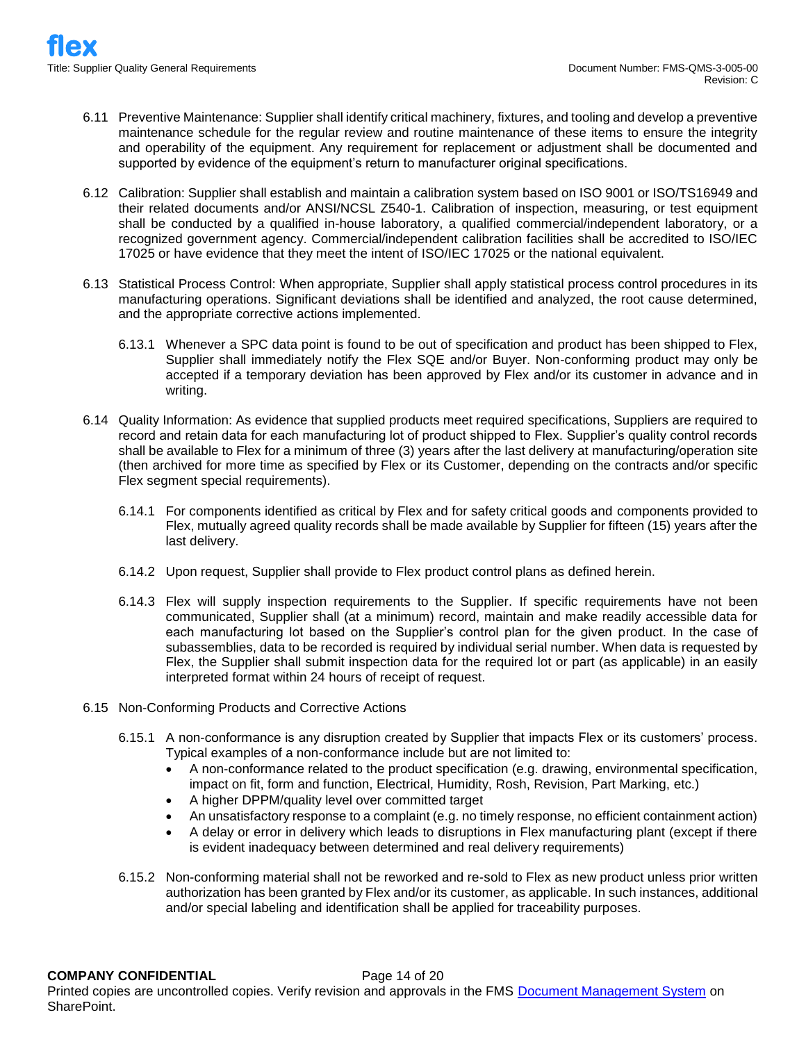- 6.11 Preventive Maintenance: Supplier shall identify critical machinery, fixtures, and tooling and develop a preventive maintenance schedule for the regular review and routine maintenance of these items to ensure the integrity and operability of the equipment. Any requirement for replacement or adjustment shall be documented and supported by evidence of the equipment's return to manufacturer original specifications.
- 6.12 Calibration: Supplier shall establish and maintain a calibration system based on ISO 9001 or ISO/TS16949 and their related documents and/or ANSI/NCSL Z540-1. Calibration of inspection, measuring, or test equipment shall be conducted by a qualified in-house laboratory, a qualified commercial/independent laboratory, or a recognized government agency. Commercial/independent calibration facilities shall be accredited to ISO/IEC 17025 or have evidence that they meet the intent of ISO/IEC 17025 or the national equivalent.
- 6.13 Statistical Process Control: When appropriate, Supplier shall apply statistical process control procedures in its manufacturing operations. Significant deviations shall be identified and analyzed, the root cause determined, and the appropriate corrective actions implemented.
	- 6.13.1 Whenever a SPC data point is found to be out of specification and product has been shipped to Flex, Supplier shall immediately notify the Flex SQE and/or Buyer. Non-conforming product may only be accepted if a temporary deviation has been approved by Flex and/or its customer in advance and in writing.
- 6.14 Quality Information: As evidence that supplied products meet required specifications, Suppliers are required to record and retain data for each manufacturing lot of product shipped to Flex. Supplier's quality control records shall be available to Flex for a minimum of three (3) years after the last delivery at manufacturing/operation site (then archived for more time as specified by Flex or its Customer, depending on the contracts and/or specific Flex segment special requirements).
	- 6.14.1 For components identified as critical by Flex and for safety critical goods and components provided to Flex, mutually agreed quality records shall be made available by Supplier for fifteen (15) years after the last delivery.
	- 6.14.2 Upon request, Supplier shall provide to Flex product control plans as defined herein.
	- 6.14.3 Flex will supply inspection requirements to the Supplier. If specific requirements have not been communicated, Supplier shall (at a minimum) record, maintain and make readily accessible data for each manufacturing lot based on the Supplier's control plan for the given product. In the case of subassemblies, data to be recorded is required by individual serial number. When data is requested by Flex, the Supplier shall submit inspection data for the required lot or part (as applicable) in an easily interpreted format within 24 hours of receipt of request.
- 6.15 Non-Conforming Products and Corrective Actions
	- 6.15.1 A non-conformance is any disruption created by Supplier that impacts Flex or its customers' process. Typical examples of a non-conformance include but are not limited to:
		- A non-conformance related to the product specification (e.g. drawing, environmental specification, impact on fit, form and function, Electrical, Humidity, Rosh, Revision, Part Marking, etc.)
		- A higher DPPM/quality level over committed target
		- An unsatisfactory response to a complaint (e.g. no timely response, no efficient containment action)
		- A delay or error in delivery which leads to disruptions in Flex manufacturing plant (except if there is evident inadequacy between determined and real delivery requirements)
	- 6.15.2 Non-conforming material shall not be reworked and re-sold to Flex as new product unless prior written authorization has been granted by Flex and/or its customer, as applicable. In such instances, additional and/or special labeling and identification shall be applied for traceability purposes.

**COMPANY CONFIDENTIAL** Page 14 of 20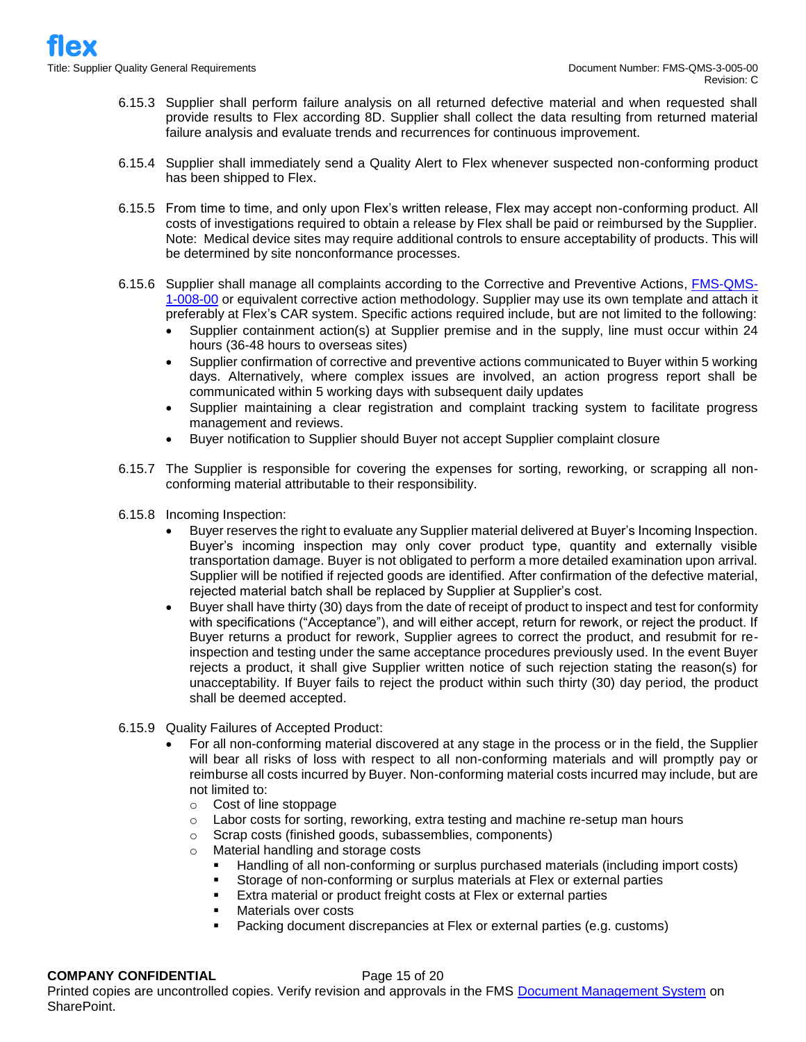- 6.15.3 Supplier shall perform failure analysis on all returned defective material and when requested shall provide results to Flex according 8D. Supplier shall collect the data resulting from returned material failure analysis and evaluate trends and recurrences for continuous improvement.
- 6.15.4 Supplier shall immediately send a Quality Alert to Flex whenever suspected non-conforming product has been shipped to Flex.
- 6.15.5 From time to time, and only upon Flex's written release, Flex may accept non-conforming product. All costs of investigations required to obtain a release by Flex shall be paid or reimbursed by the Supplier. Note: Medical device sites may require additional controls to ensure acceptability of products. This will be determined by site nonconformance processes.
- 6.15.6 Supplier shall manage all complaints according to the Corrective and Preventive Actions, [FMS-QMS-](https://flextronics365.flextronics.com/dms/gq/cq/Corrective%20and%20Preventive%20Action.pdf)[1-008-00](https://flextronics365.flextronics.com/dms/gq/cq/Corrective%20and%20Preventive%20Action.pdf) or equivalent corrective action methodology. Supplier may use its own template and attach it preferably at Flex's CAR system. Specific actions required include, but are not limited to the following:
	- Supplier containment action(s) at Supplier premise and in the supply, line must occur within 24 hours (36-48 hours to overseas sites)
	- Supplier confirmation of corrective and preventive actions communicated to Buyer within 5 working days. Alternatively, where complex issues are involved, an action progress report shall be communicated within 5 working days with subsequent daily updates
	- Supplier maintaining a clear registration and complaint tracking system to facilitate progress management and reviews.
	- Buyer notification to Supplier should Buyer not accept Supplier complaint closure
- 6.15.7 The Supplier is responsible for covering the expenses for sorting, reworking, or scrapping all nonconforming material attributable to their responsibility.
- 6.15.8 Incoming Inspection:
	- Buyer reserves the right to evaluate any Supplier material delivered at Buyer's Incoming Inspection. Buyer's incoming inspection may only cover product type, quantity and externally visible transportation damage. Buyer is not obligated to perform a more detailed examination upon arrival. Supplier will be notified if rejected goods are identified. After confirmation of the defective material, rejected material batch shall be replaced by Supplier at Supplier's cost.
	- Buyer shall have thirty (30) days from the date of receipt of product to inspect and test for conformity with specifications ("Acceptance"), and will either accept, return for rework, or reject the product. If Buyer returns a product for rework, Supplier agrees to correct the product, and resubmit for reinspection and testing under the same acceptance procedures previously used. In the event Buyer rejects a product, it shall give Supplier written notice of such rejection stating the reason(s) for unacceptability. If Buyer fails to reject the product within such thirty (30) day period, the product shall be deemed accepted.
- 6.15.9 Quality Failures of Accepted Product:
	- For all non-conforming material discovered at any stage in the process or in the field, the Supplier will bear all risks of loss with respect to all non-conforming materials and will promptly pay or reimburse all costs incurred by Buyer. Non-conforming material costs incurred may include, but are not limited to:
		- o Cost of line stoppage
		- $\circ$  Labor costs for sorting, reworking, extra testing and machine re-setup man hours
		- o Scrap costs (finished goods, subassemblies, components)
		- o Material handling and storage costs
			- Handling of all non-conforming or surplus purchased materials (including import costs)
			- **EXECT** Storage of non-conforming or surplus materials at Flex or external parties
			- Extra material or product freight costs at Flex or external parties
			- Materials over costs
			- Packing document discrepancies at Flex or external parties (e.g. customs)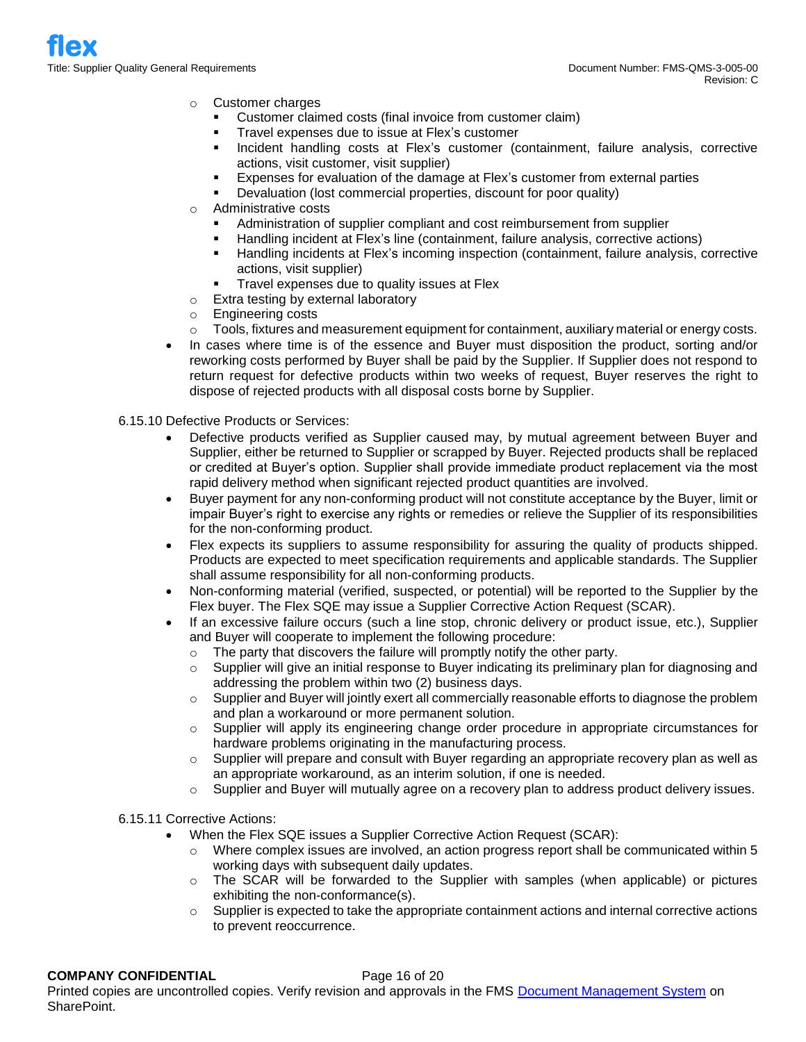- o Customer charges
	- Customer claimed costs (final invoice from customer claim)
	- Travel expenses due to issue at Flex's customer
	- Incident handling costs at Flex's customer (containment, failure analysis, corrective actions, visit customer, visit supplier)
	- Expenses for evaluation of the damage at Flex's customer from external parties
	- Devaluation (lost commercial properties, discount for poor quality)
- o Administrative costs
	- Administration of supplier compliant and cost reimbursement from supplier
	- Handling incident at Flex's line (containment, failure analysis, corrective actions)
	- Handling incidents at Flex's incoming inspection (containment, failure analysis, corrective actions, visit supplier)
	- Travel expenses due to quality issues at Flex
- o Extra testing by external laboratory
- o Engineering costs
- $\circ$  Tools, fixtures and measurement equipment for containment, auxiliary material or energy costs.
- In cases where time is of the essence and Buyer must disposition the product, sorting and/or reworking costs performed by Buyer shall be paid by the Supplier. If Supplier does not respond to return request for defective products within two weeks of request, Buyer reserves the right to dispose of rejected products with all disposal costs borne by Supplier.
- 6.15.10 Defective Products or Services:
	- Defective products verified as Supplier caused may, by mutual agreement between Buyer and Supplier, either be returned to Supplier or scrapped by Buyer. Rejected products shall be replaced or credited at Buyer's option. Supplier shall provide immediate product replacement via the most rapid delivery method when significant rejected product quantities are involved.
	- Buyer payment for any non-conforming product will not constitute acceptance by the Buyer, limit or impair Buyer's right to exercise any rights or remedies or relieve the Supplier of its responsibilities for the non-conforming product.
	- Flex expects its suppliers to assume responsibility for assuring the quality of products shipped. Products are expected to meet specification requirements and applicable standards. The Supplier shall assume responsibility for all non-conforming products.
	- Non-conforming material (verified, suspected, or potential) will be reported to the Supplier by the Flex buyer. The Flex SQE may issue a Supplier Corrective Action Request (SCAR).
	- If an excessive failure occurs (such a line stop, chronic delivery or product issue, etc.), Supplier and Buyer will cooperate to implement the following procedure:
		- $\circ$  The party that discovers the failure will promptly notify the other party.
		- $\circ$  Supplier will give an initial response to Buyer indicating its preliminary plan for diagnosing and addressing the problem within two (2) business days.
		- $\circ$  Supplier and Buyer will jointly exert all commercially reasonable efforts to diagnose the problem and plan a workaround or more permanent solution.
		- o Supplier will apply its engineering change order procedure in appropriate circumstances for hardware problems originating in the manufacturing process.
		- $\circ$  Supplier will prepare and consult with Buyer regarding an appropriate recovery plan as well as an appropriate workaround, as an interim solution, if one is needed.
		- o Supplier and Buyer will mutually agree on a recovery plan to address product delivery issues.
- 6.15.11 Corrective Actions:
	- When the Flex SQE issues a Supplier Corrective Action Request (SCAR):
		- $\circ$  Where complex issues are involved, an action progress report shall be communicated within 5 working days with subsequent daily updates.
		- o The SCAR will be forwarded to the Supplier with samples (when applicable) or pictures exhibiting the non-conformance(s).
		- $\circ$  Supplier is expected to take the appropriate containment actions and internal corrective actions to prevent reoccurrence.

# **COMPANY CONFIDENTIAL** Page 16 of 20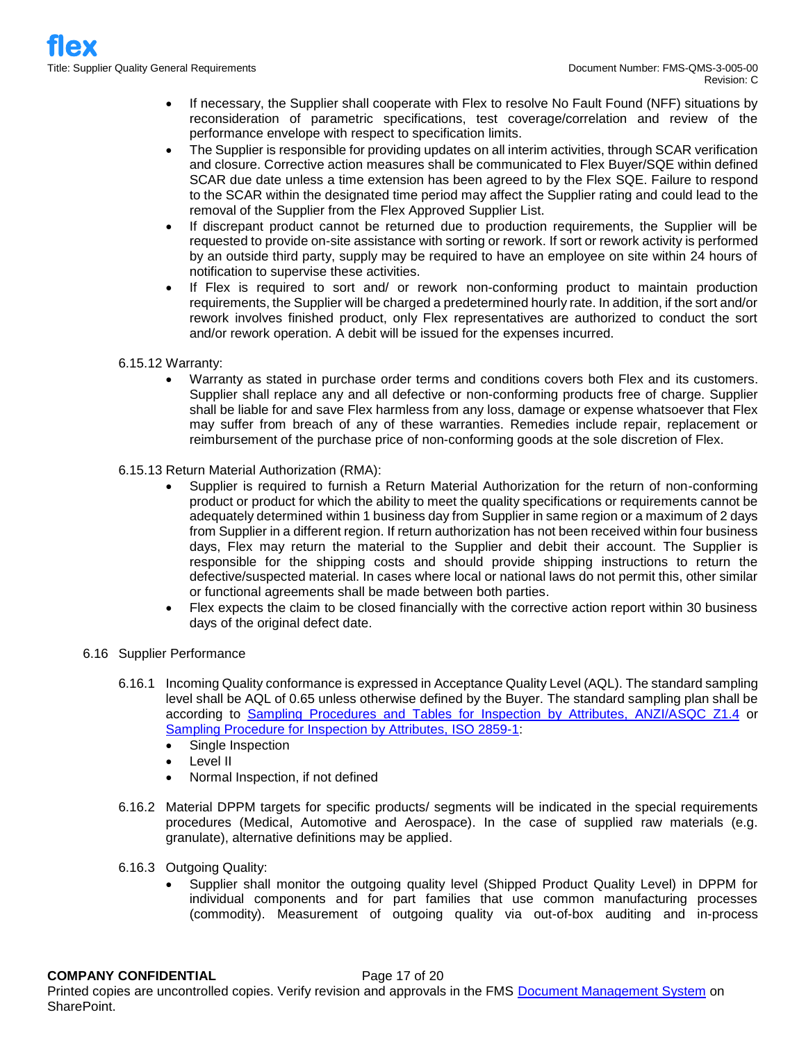- If necessary, the Supplier shall cooperate with Flex to resolve No Fault Found (NFF) situations by reconsideration of parametric specifications, test coverage/correlation and review of the performance envelope with respect to specification limits.
- The Supplier is responsible for providing updates on all interim activities, through SCAR verification and closure. Corrective action measures shall be communicated to Flex Buyer/SQE within defined SCAR due date unless a time extension has been agreed to by the Flex SQE. Failure to respond to the SCAR within the designated time period may affect the Supplier rating and could lead to the removal of the Supplier from the Flex Approved Supplier List.
- If discrepant product cannot be returned due to production requirements, the Supplier will be requested to provide on-site assistance with sorting or rework. If sort or rework activity is performed by an outside third party, supply may be required to have an employee on site within 24 hours of notification to supervise these activities.
- If Flex is required to sort and/ or rework non-conforming product to maintain production requirements, the Supplier will be charged a predetermined hourly rate. In addition, if the sort and/or rework involves finished product, only Flex representatives are authorized to conduct the sort and/or rework operation. A debit will be issued for the expenses incurred.
- 6.15.12 Warranty:
	- Warranty as stated in purchase order terms and conditions covers both Flex and its customers. Supplier shall replace any and all defective or non-conforming products free of charge. Supplier shall be liable for and save Flex harmless from any loss, damage or expense whatsoever that Flex may suffer from breach of any of these warranties. Remedies include repair, replacement or reimbursement of the purchase price of non-conforming goods at the sole discretion of Flex.
- 6.15.13 Return Material Authorization (RMA):
	- Supplier is required to furnish a Return Material Authorization for the return of non-conforming product or product for which the ability to meet the quality specifications or requirements cannot be adequately determined within 1 business day from Supplier in same region or a maximum of 2 days from Supplier in a different region. If return authorization has not been received within four business days, Flex may return the material to the Supplier and debit their account. The Supplier is responsible for the shipping costs and should provide shipping instructions to return the defective/suspected material. In cases where local or national laws do not permit this, other similar or functional agreements shall be made between both parties.
	- Flex expects the claim to be closed financially with the corrective action report within 30 business days of the original defect date.
- 6.16 Supplier Performance
	- 6.16.1 Incoming Quality conformance is expressed in Acceptance Quality Level (AQL). The standard sampling level shall be AQL of 0.65 unless otherwise defined by the Buyer. The standard sampling plan shall be according to [Sampling Procedures and Tables for Inspection by Attributes, ANZI/ASQC Z1.4](http://asq.org/learn-about-quality/z14-z19/) or [Sampling Procedure for Inspection by Attributes, ISO 2859-1:](https://www.iso.org/obp/ui/#iso:std:iso:2859:-1:ed-2:v1:en)
		- Single Inspection
		- Level II
		- Normal Inspection, if not defined
	- 6.16.2 Material DPPM targets for specific products/ segments will be indicated in the special requirements procedures (Medical, Automotive and Aerospace). In the case of supplied raw materials (e.g. granulate), alternative definitions may be applied.
	- 6.16.3 Outgoing Quality:
		- Supplier shall monitor the outgoing quality level (Shipped Product Quality Level) in DPPM for individual components and for part families that use common manufacturing processes (commodity). Measurement of outgoing quality via out-of-box auditing and in-process

#### **COMPANY CONFIDENTIAL** Page 17 of 20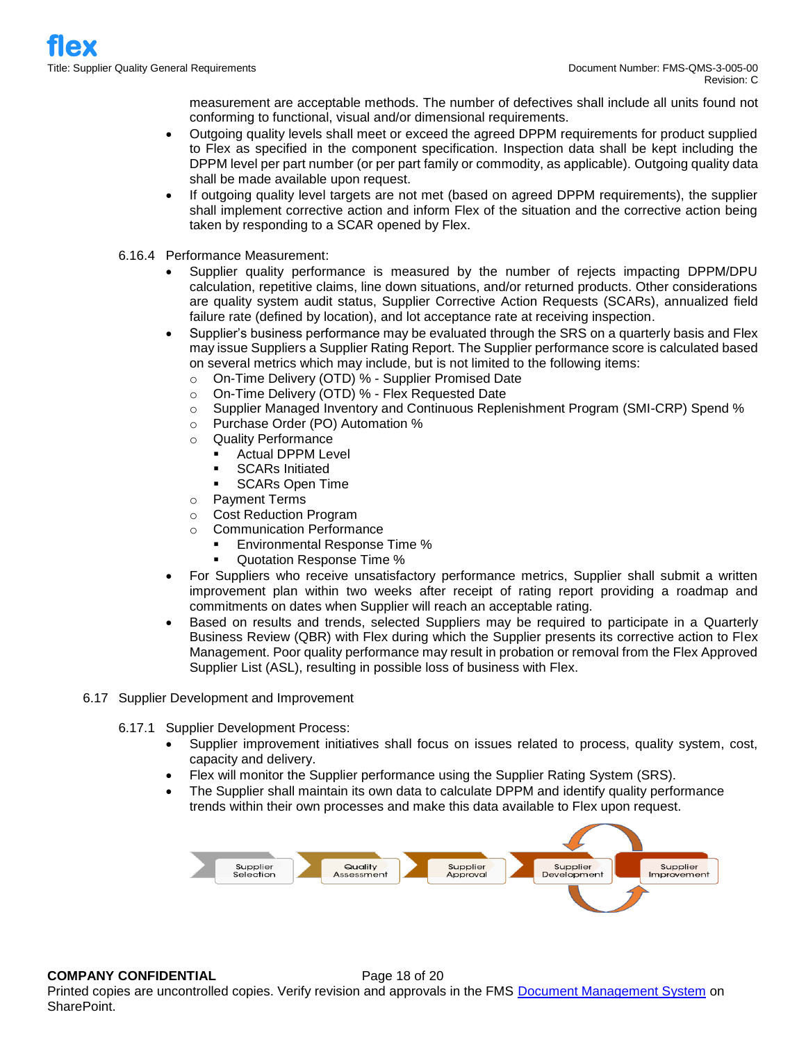measurement are acceptable methods. The number of defectives shall include all units found not conforming to functional, visual and/or dimensional requirements.

- Outgoing quality levels shall meet or exceed the agreed DPPM requirements for product supplied to Flex as specified in the component specification. Inspection data shall be kept including the DPPM level per part number (or per part family or commodity, as applicable). Outgoing quality data shall be made available upon request.
- If outgoing quality level targets are not met (based on agreed DPPM requirements), the supplier shall implement corrective action and inform Flex of the situation and the corrective action being taken by responding to a SCAR opened by Flex.
- 6.16.4 Performance Measurement:
	- Supplier quality performance is measured by the number of rejects impacting DPPM/DPU calculation, repetitive claims, line down situations, and/or returned products. Other considerations are quality system audit status, Supplier Corrective Action Requests (SCARs), annualized field failure rate (defined by location), and lot acceptance rate at receiving inspection.
	- Supplier's business performance may be evaluated through the SRS on a quarterly basis and Flex may issue Suppliers a Supplier Rating Report. The Supplier performance score is calculated based on several metrics which may include, but is not limited to the following items:
		- o On-Time Delivery (OTD) % Supplier Promised Date
		- o On-Time Delivery (OTD) % Flex Requested Date
		- o Supplier Managed Inventory and Continuous Replenishment Program (SMI-CRP) Spend %
		- o Purchase Order (PO) Automation %
		- o Quality Performance
			- Actual DPPM Level
			- **SCARs Initiated**
			- **SCARs Open Time**
		- o Payment Terms
		- o Cost Reduction Program
		- o Communication Performance
			- Environmental Response Time %
			- Quotation Response Time %
	- For Suppliers who receive unsatisfactory performance metrics, Supplier shall submit a written improvement plan within two weeks after receipt of rating report providing a roadmap and commitments on dates when Supplier will reach an acceptable rating.
	- Based on results and trends, selected Suppliers may be required to participate in a Quarterly Business Review (QBR) with Flex during which the Supplier presents its corrective action to Flex Management. Poor quality performance may result in probation or removal from the Flex Approved Supplier List (ASL), resulting in possible loss of business with Flex.
- 6.17 Supplier Development and Improvement
	- 6.17.1 Supplier Development Process:
		- Supplier improvement initiatives shall focus on issues related to process, quality system, cost, capacity and delivery.
		- Flex will monitor the Supplier performance using the Supplier Rating System (SRS).
		- The Supplier shall maintain its own data to calculate DPPM and identify quality performance trends within their own processes and make this data available to Flex upon request.



# **COMPANY CONFIDENTIAL** Page 18 of 20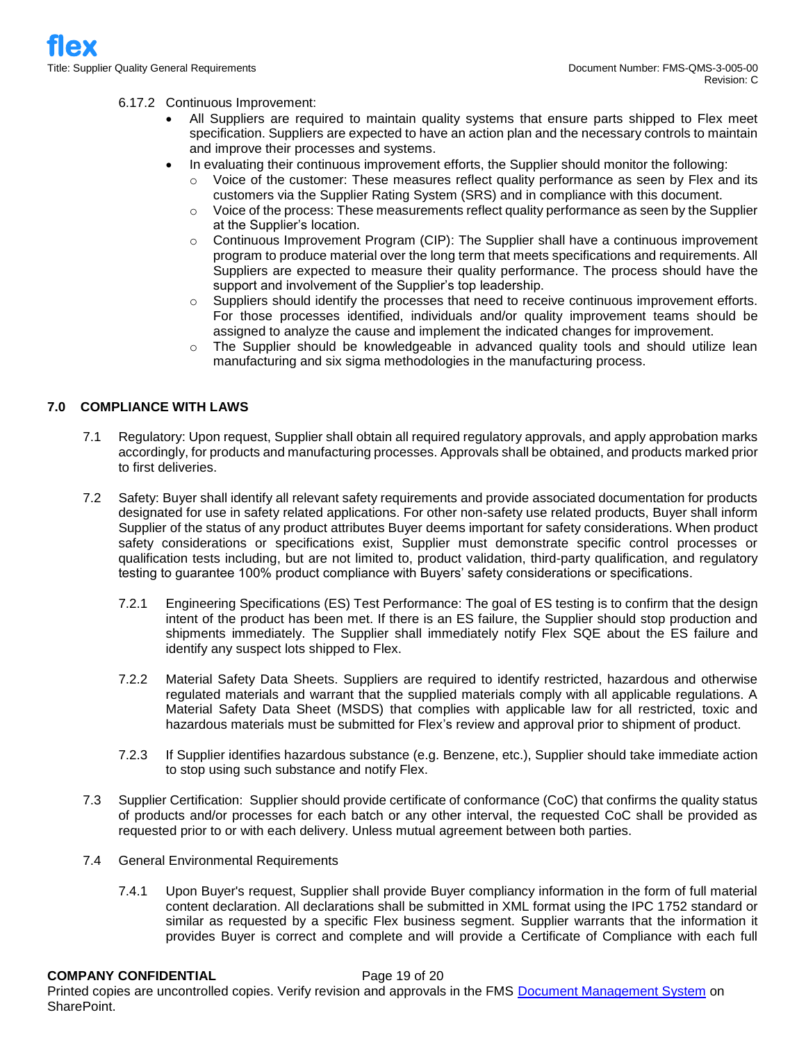## 6.17.2 Continuous Improvement:

- All Suppliers are required to maintain quality systems that ensure parts shipped to Flex meet specification. Suppliers are expected to have an action plan and the necessary controls to maintain and improve their processes and systems.
- In evaluating their continuous improvement efforts, the Supplier should monitor the following:
	- Voice of the customer: These measures reflect quality performance as seen by Flex and its customers via the Supplier Rating System (SRS) and in compliance with this document.
	- $\circ$  Voice of the process: These measurements reflect quality performance as seen by the Supplier at the Supplier's location.
	- $\circ$  Continuous Improvement Program (CIP): The Supplier shall have a continuous improvement program to produce material over the long term that meets specifications and requirements. All Suppliers are expected to measure their quality performance. The process should have the support and involvement of the Supplier's top leadership.
	- Suppliers should identify the processes that need to receive continuous improvement efforts. For those processes identified, individuals and/or quality improvement teams should be assigned to analyze the cause and implement the indicated changes for improvement.
	- o The Supplier should be knowledgeable in advanced quality tools and should utilize lean manufacturing and six sigma methodologies in the manufacturing process.

# **7.0 COMPLIANCE WITH LAWS**

- 7.1 Regulatory: Upon request, Supplier shall obtain all required regulatory approvals, and apply approbation marks accordingly, for products and manufacturing processes. Approvals shall be obtained, and products marked prior to first deliveries.
- 7.2 Safety: Buyer shall identify all relevant safety requirements and provide associated documentation for products designated for use in safety related applications. For other non-safety use related products, Buyer shall inform Supplier of the status of any product attributes Buyer deems important for safety considerations. When product safety considerations or specifications exist, Supplier must demonstrate specific control processes or qualification tests including, but are not limited to, product validation, third-party qualification, and regulatory testing to guarantee 100% product compliance with Buyers' safety considerations or specifications.
	- 7.2.1 Engineering Specifications (ES) Test Performance: The goal of ES testing is to confirm that the design intent of the product has been met. If there is an ES failure, the Supplier should stop production and shipments immediately. The Supplier shall immediately notify Flex SQE about the ES failure and identify any suspect lots shipped to Flex.
	- 7.2.2 Material Safety Data Sheets. Suppliers are required to identify restricted, hazardous and otherwise regulated materials and warrant that the supplied materials comply with all applicable regulations. A Material Safety Data Sheet (MSDS) that complies with applicable law for all restricted, toxic and hazardous materials must be submitted for Flex's review and approval prior to shipment of product.
	- 7.2.3 If Supplier identifies hazardous substance (e.g. Benzene, etc.), Supplier should take immediate action to stop using such substance and notify Flex.
- 7.3 Supplier Certification: Supplier should provide certificate of conformance (CoC) that confirms the quality status of products and/or processes for each batch or any other interval, the requested CoC shall be provided as requested prior to or with each delivery. Unless mutual agreement between both parties.
- 7.4 General Environmental Requirements
	- 7.4.1 Upon Buyer's request, Supplier shall provide Buyer compliancy information in the form of full material content declaration. All declarations shall be submitted in XML format using the IPC 1752 standard or similar as requested by a specific Flex business segment. Supplier warrants that the information it provides Buyer is correct and complete and will provide a Certificate of Compliance with each full

**COMPANY CONFIDENTIAL** Page 19 of 20